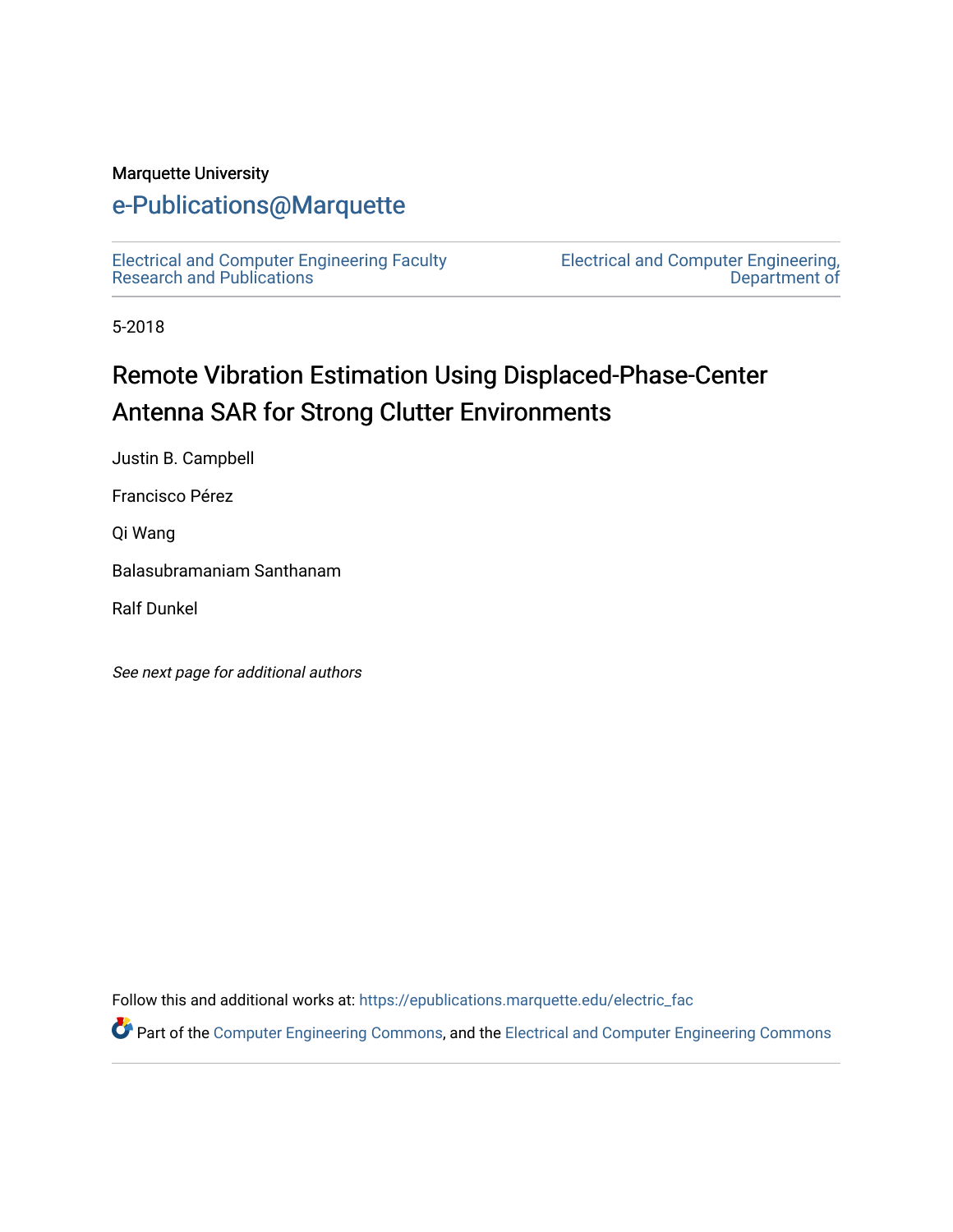#### Marquette University

### [e-Publications@Marquette](https://epublications.marquette.edu/)

[Electrical and Computer Engineering Faculty](https://epublications.marquette.edu/electric_fac) [Research and Publications](https://epublications.marquette.edu/electric_fac) 

[Electrical and Computer Engineering,](https://epublications.marquette.edu/electric)  [Department of](https://epublications.marquette.edu/electric) 

5-2018

# Remote Vibration Estimation Using Displaced-Phase-Center Antenna SAR for Strong Clutter Environments

Justin B. Campbell

Francisco Pérez

Qi Wang

Balasubramaniam Santhanam

Ralf Dunkel

See next page for additional authors

Follow this and additional works at: [https://epublications.marquette.edu/electric\\_fac](https://epublications.marquette.edu/electric_fac?utm_source=epublications.marquette.edu%2Felectric_fac%2F552&utm_medium=PDF&utm_campaign=PDFCoverPages) 

Part of the [Computer Engineering Commons,](http://network.bepress.com/hgg/discipline/258?utm_source=epublications.marquette.edu%2Felectric_fac%2F552&utm_medium=PDF&utm_campaign=PDFCoverPages) and the [Electrical and Computer Engineering Commons](http://network.bepress.com/hgg/discipline/266?utm_source=epublications.marquette.edu%2Felectric_fac%2F552&utm_medium=PDF&utm_campaign=PDFCoverPages)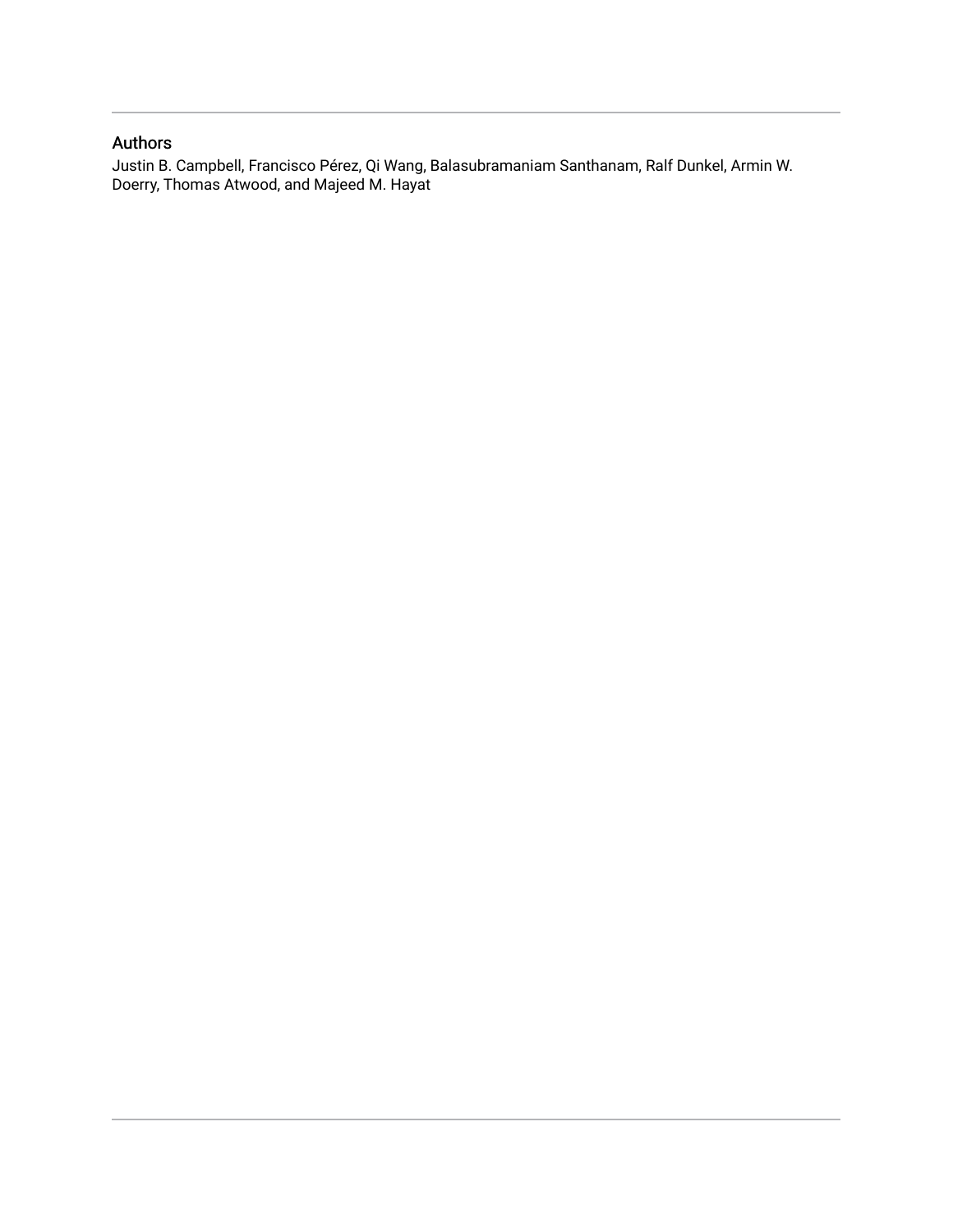#### Authors

Justin B. Campbell, Francisco Pérez, Qi Wang, Balasubramaniam Santhanam, Ralf Dunkel, Armin W. Doerry, Thomas Atwood, and Majeed M. Hayat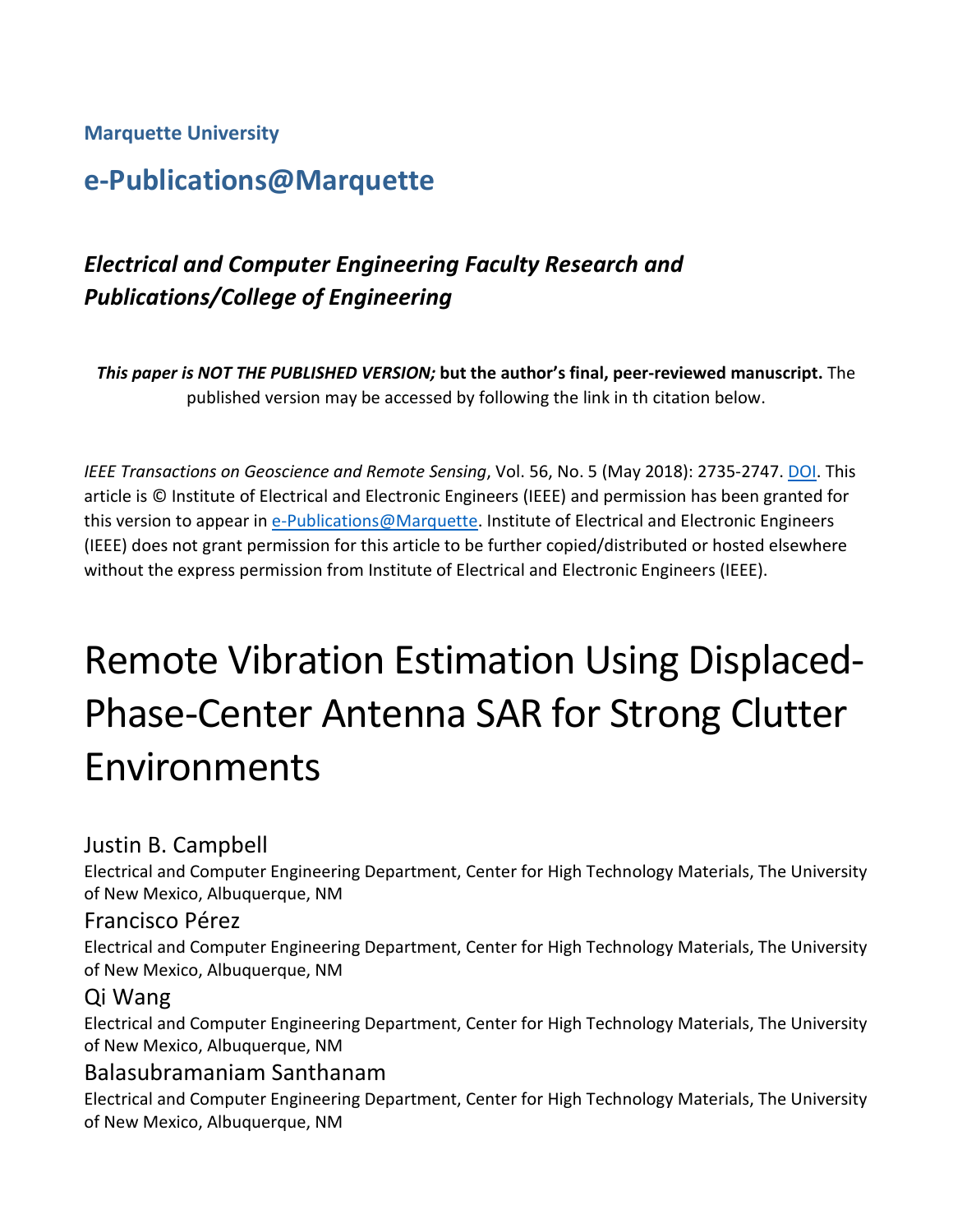#### **Marquette University**

# **e-Publications@Marquette**

## *Electrical and Computer Engineering Faculty Research and Publications/College of Engineering*

*This paper is NOT THE PUBLISHED VERSION;* **but the author's final, peer-reviewed manuscript.** The published version may be accessed by following the link in th citation below.

*IEEE Transactions on Geoscience and Remote Sensing, Vol. 56, No. 5 (May 2018): 2735-2747. [DOI.](https://doi.org/10.1109/TGRS.2017.2782621) This* article is © Institute of Electrical and Electronic Engineers (IEEE) and permission has been granted for this version to appear i[n e-Publications@Marquette.](http://epublications.marquette.edu/) Institute of Electrical and Electronic Engineers (IEEE) does not grant permission for this article to be further copied/distributed or hosted elsewhere without the express permission from Institute of Electrical and Electronic Engineers (IEEE).

# Remote Vibration Estimation Using Displaced-Phase-Center Antenna SAR for Strong Clutter Environments

#### Justin B. Campbell

Electrical and Computer Engineering Department, Center for High Technology Materials, The University of New Mexico, Albuquerque, NM

#### Francisco Pérez

Electrical and Computer Engineering Department, Center for High Technology Materials, The University of New Mexico, Albuquerque, NM

#### Qi Wang

Electrical and Computer Engineering Department, Center for High Technology Materials, The University of New Mexico, Albuquerque, NM

#### Balasubramaniam Santhanam

Electrical and Computer Engineering Department, Center for High Technology Materials, The University of New Mexico, Albuquerque, NM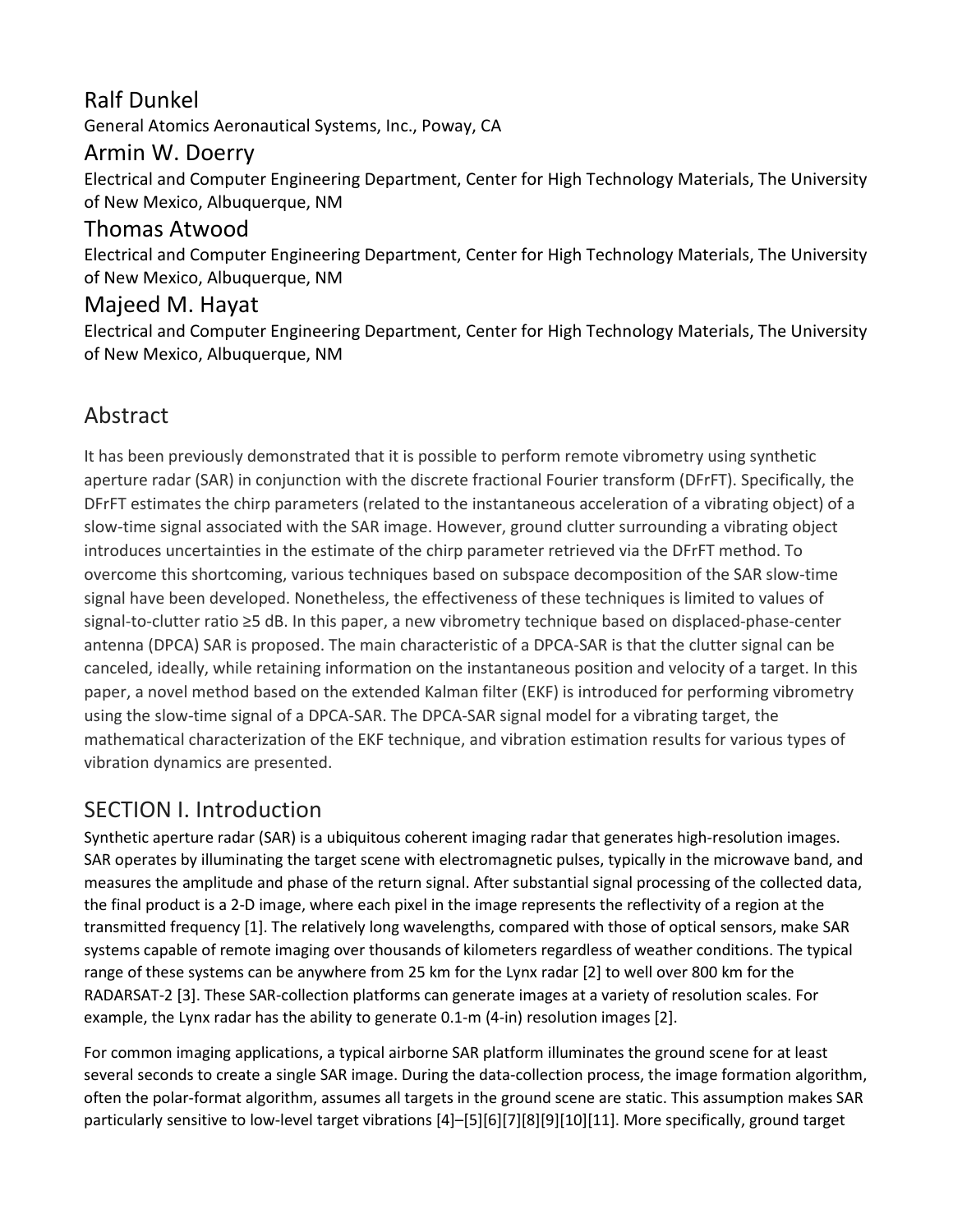### Ralf Dunkel

General Atomics Aeronautical Systems, Inc., Poway, CA

### Armin W. Doerry

Electrical and Computer Engineering Department, Center for High Technology Materials, The University of New Mexico, Albuquerque, NM

### Thomas Atwood

Electrical and Computer Engineering Department, Center for High Technology Materials, The University of New Mexico, Albuquerque, NM

### Majeed M. Hayat

Electrical and Computer Engineering Department, Center for High Technology Materials, The University of New Mexico, Albuquerque, NM

### Abstract

It has been previously demonstrated that it is possible to perform remote vibrometry using synthetic aperture radar (SAR) in conjunction with the discrete fractional Fourier transform (DFrFT). Specifically, the DFrFT estimates the chirp parameters (related to the instantaneous acceleration of a vibrating object) of a slow-time signal associated with the SAR image. However, ground clutter surrounding a vibrating object introduces uncertainties in the estimate of the chirp parameter retrieved via the DFrFT method. To overcome this shortcoming, various techniques based on subspace decomposition of the SAR slow-time signal have been developed. Nonetheless, the effectiveness of these techniques is limited to values of signal-to-clutter ratio ≥5 dB. In this paper, a new vibrometry technique based on displaced-phase-center antenna (DPCA) SAR is proposed. The main characteristic of a DPCA-SAR is that the clutter signal can be canceled, ideally, while retaining information on the instantaneous position and velocity of a target. In this paper, a novel method based on the extended Kalman filter (EKF) is introduced for performing vibrometry using the slow-time signal of a DPCA-SAR. The DPCA-SAR signal model for a vibrating target, the mathematical characterization of the EKF technique, and vibration estimation results for various types of vibration dynamics are presented.

### SECTION I. Introduction

Synthetic aperture radar (SAR) is a ubiquitous coherent imaging radar that generates high-resolution images. SAR operates by illuminating the target scene with electromagnetic pulses, typically in the microwave band, and measures the amplitude and phase of the return signal. After substantial signal processing of the collected data, the final product is a 2-D image, where each pixel in the image represents the reflectivity of a region at the transmitted frequency [1]. The relatively long wavelengths, compared with those of optical sensors, make SAR systems capable of remote imaging over thousands of kilometers regardless of weather conditions. The typical range of these systems can be anywhere from 25 km for the Lynx radar [2] to well over 800 km for the RADARSAT-2 [3]. These SAR-collection platforms can generate images at a variety of resolution scales. For example, the Lynx radar has the ability to generate 0.1-m (4-in) resolution images [2].

For common imaging applications, a typical airborne SAR platform illuminates the ground scene for at least several seconds to create a single SAR image. During the data-collection process, the image formation algorithm, often the polar-format algorithm, assumes all targets in the ground scene are static. This assumption makes SAR particularly sensitive to low-level target vibrations [4]–[5][6][7][8][9][10][11]. More specifically, ground target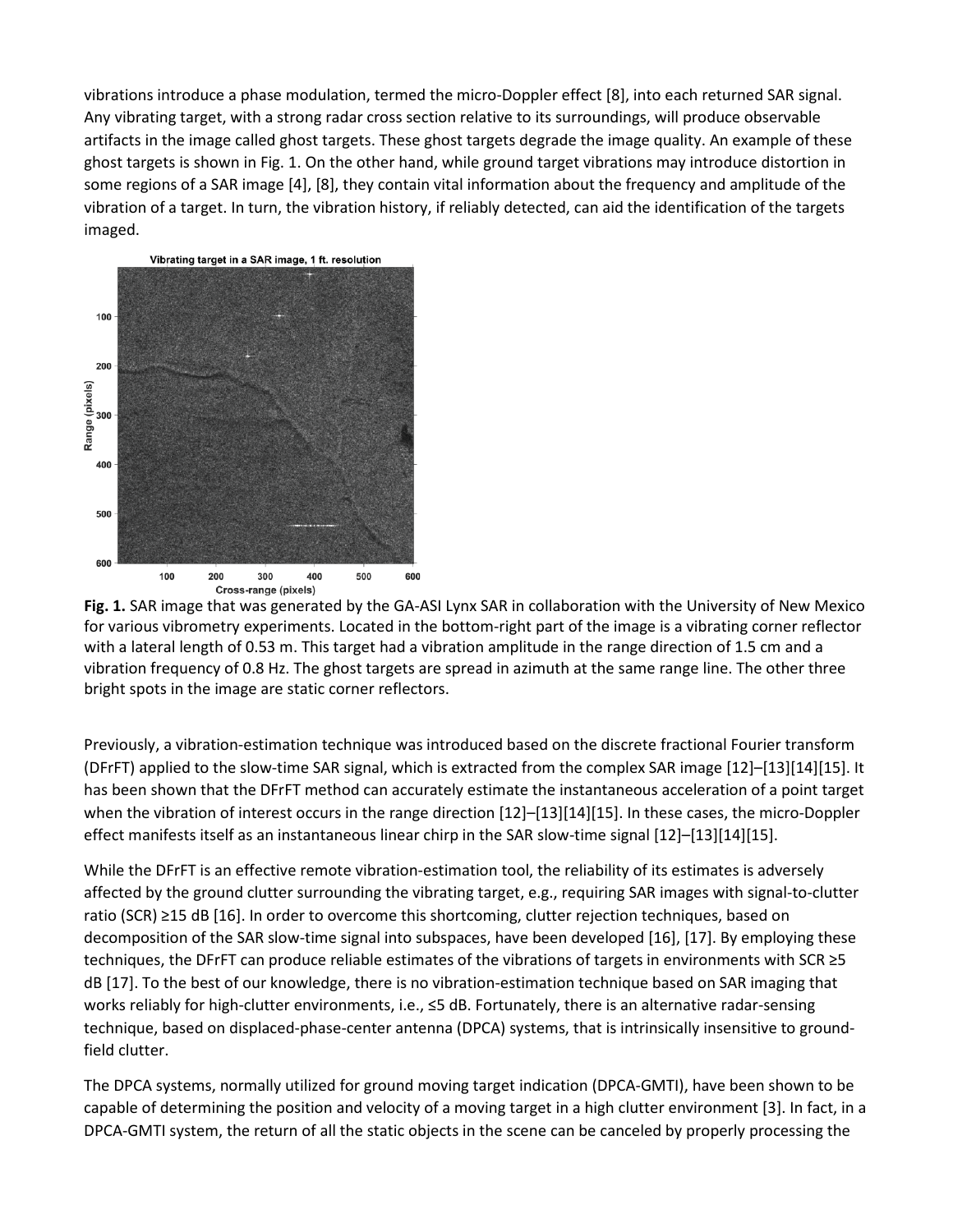vibrations introduce a phase modulation, termed the micro-Doppler effect [8], into each returned SAR signal. Any vibrating target, with a strong radar cross section relative to its surroundings, will produce observable artifacts in the image called ghost targets. These ghost targets degrade the image quality. An example of these ghost targets is shown in Fig. 1. On the other hand, while ground target vibrations may introduce distortion in some regions of a SAR image [4], [8], they contain vital information about the frequency and amplitude of the vibration of a target. In turn, the vibration history, if reliably detected, can aid the identification of the targets imaged.



**Fig. 1.** SAR image that was generated by the GA-ASI Lynx SAR in collaboration with the University of New Mexico for various vibrometry experiments. Located in the bottom-right part of the image is a vibrating corner reflector with a lateral length of 0.53 m. This target had a vibration amplitude in the range direction of 1.5 cm and a vibration frequency of 0.8 Hz. The ghost targets are spread in azimuth at the same range line. The other three bright spots in the image are static corner reflectors.

Previously, a vibration-estimation technique was introduced based on the discrete fractional Fourier transform (DFrFT) applied to the slow-time SAR signal, which is extracted from the complex SAR image [12]–[13][14][15]. It has been shown that the DFrFT method can accurately estimate the instantaneous acceleration of a point target when the vibration of interest occurs in the range direction [12]–[13][14][15]. In these cases, the micro-Doppler effect manifests itself as an instantaneous linear chirp in the SAR slow-time signal [12]–[13][14][15].

While the DFrFT is an effective remote vibration-estimation tool, the reliability of its estimates is adversely affected by the ground clutter surrounding the vibrating target, e.g., requiring SAR images with signal-to-clutter ratio (SCR) ≥15 dB [16]. In order to overcome this shortcoming, clutter rejection techniques, based on decomposition of the SAR slow-time signal into subspaces, have been developed [16], [17]. By employing these techniques, the DFrFT can produce reliable estimates of the vibrations of targets in environments with SCR ≥5 dB [17]. To the best of our knowledge, there is no vibration-estimation technique based on SAR imaging that works reliably for high-clutter environments, i.e., ≤5 dB. Fortunately, there is an alternative radar-sensing technique, based on displaced-phase-center antenna (DPCA) systems, that is intrinsically insensitive to groundfield clutter.

The DPCA systems, normally utilized for ground moving target indication (DPCA-GMTI), have been shown to be capable of determining the position and velocity of a moving target in a high clutter environment [3]. In fact, in a DPCA-GMTI system, the return of all the static objects in the scene can be canceled by properly processing the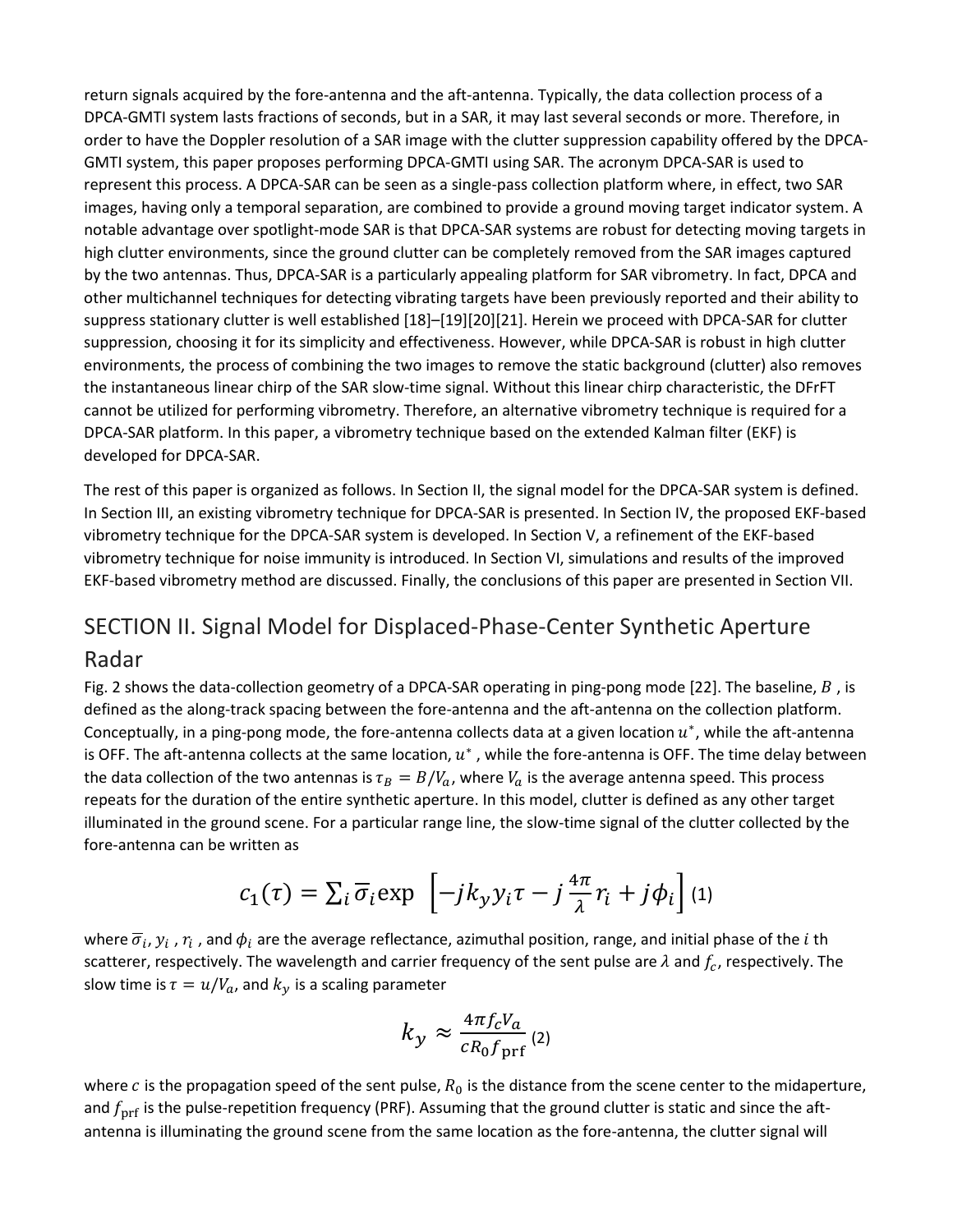return signals acquired by the fore-antenna and the aft-antenna. Typically, the data collection process of a DPCA-GMTI system lasts fractions of seconds, but in a SAR, it may last several seconds or more. Therefore, in order to have the Doppler resolution of a SAR image with the clutter suppression capability offered by the DPCA-GMTI system, this paper proposes performing DPCA-GMTI using SAR. The acronym DPCA-SAR is used to represent this process. A DPCA-SAR can be seen as a single-pass collection platform where, in effect, two SAR images, having only a temporal separation, are combined to provide a ground moving target indicator system. A notable advantage over spotlight-mode SAR is that DPCA-SAR systems are robust for detecting moving targets in high clutter environments, since the ground clutter can be completely removed from the SAR images captured by the two antennas. Thus, DPCA-SAR is a particularly appealing platform for SAR vibrometry. In fact, DPCA and other multichannel techniques for detecting vibrating targets have been previously reported and their ability to suppress stationary clutter is well established [18]–[19][20][21]. Herein we proceed with DPCA-SAR for clutter suppression, choosing it for its simplicity and effectiveness. However, while DPCA-SAR is robust in high clutter environments, the process of combining the two images to remove the static background (clutter) also removes the instantaneous linear chirp of the SAR slow-time signal. Without this linear chirp characteristic, the DFrFT cannot be utilized for performing vibrometry. Therefore, an alternative vibrometry technique is required for a DPCA-SAR platform. In this paper, a vibrometry technique based on the extended Kalman filter (EKF) is developed for DPCA-SAR.

The rest of this paper is organized as follows. In Section II, the signal model for the DPCA-SAR system is defined. In Section III, an existing vibrometry technique for DPCA-SAR is presented. In Section IV, the proposed EKF-based vibrometry technique for the DPCA-SAR system is developed. In Section V, a refinement of the EKF-based vibrometry technique for noise immunity is introduced. In Section VI, simulations and results of the improved EKF-based vibrometry method are discussed. Finally, the conclusions of this paper are presented in Section VII.

### SECTION II. Signal Model for Displaced-Phase-Center Synthetic Aperture Radar

Fig. 2 shows the data-collection geometry of a DPCA-SAR operating in ping-pong mode [22]. The baseline,  $B$ , is defined as the along-track spacing between the fore-antenna and the aft-antenna on the collection platform. Conceptually, in a ping-pong mode, the fore-antenna collects data at a given location  $u^*$ , while the aft-antenna is OFF. The aft-antenna collects at the same location,  $u^*$ , while the fore-antenna is OFF. The time delay between the data collection of the two antennas is  $\tau_B = B/V_a$ , where  $V_a$  is the average antenna speed. This process repeats for the duration of the entire synthetic aperture. In this model, clutter is defined as any other target illuminated in the ground scene. For a particular range line, the slow-time signal of the clutter collected by the fore-antenna can be written as

$$
c_1(\tau) = \sum_i \overline{\sigma}_i \exp\left[-jk_y y_i \tau - j\frac{4\pi}{\lambda}r_i + j\phi_i\right](1)
$$

where  $\overline{\sigma}_i$ ,  $y_i$ ,  $r_i$ , and  $\phi_i$  are the average reflectance, azimuthal position, range, and initial phase of the *i* th scatterer, respectively. The wavelength and carrier frequency of the sent pulse are  $\lambda$  and  $f_c$ , respectively. The slow time is  $\tau = u/V_a$ , and  $k_y$  is a scaling parameter

$$
k_{y} \approx \frac{4\pi f_{c}V_{a}}{cR_{0}f_{\text{prf}}}
$$
 (2)

where  $c$  is the propagation speed of the sent pulse,  $R_0$  is the distance from the scene center to the midaperture, and  $f_{\text{prf}}$  is the pulse-repetition frequency (PRF). Assuming that the ground clutter is static and since the aftantenna is illuminating the ground scene from the same location as the fore-antenna, the clutter signal will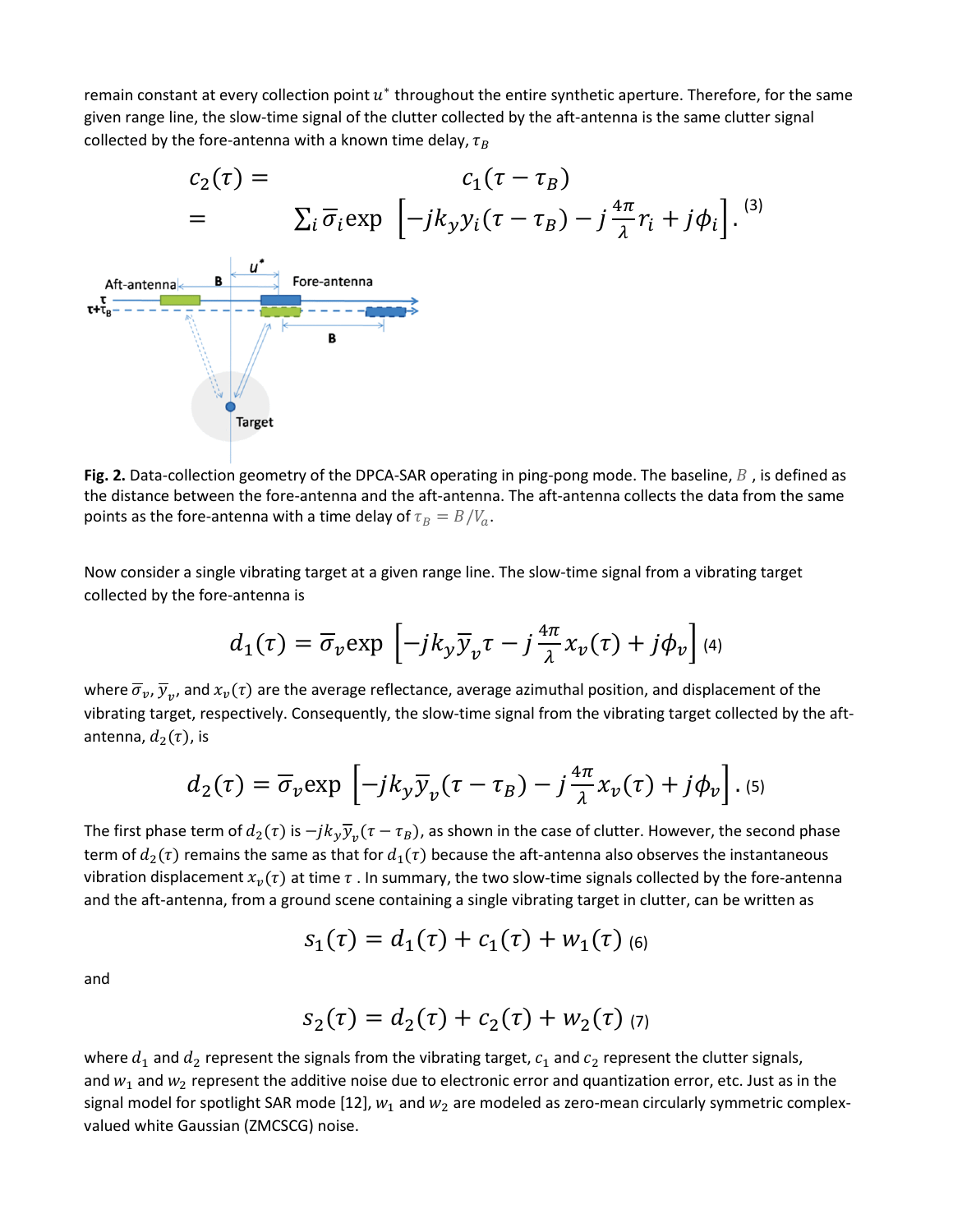remain constant at every collection point  $u^*$  throughout the entire synthetic aperture. Therefore, for the same given range line, the slow-time signal of the clutter collected by the aft-antenna is the same clutter signal collected by the fore-antenna with a known time delay,  $\tau_B$ 

2() = 1( − ) = ∑ exp �−( − ) − 4 + �. (3)

Fig. 2. Data-collection geometry of the DPCA-SAR operating in ping-pong mode. The baseline, B, is defined as the distance between the fore-antenna and the aft-antenna. The aft-antenna collects the data from the same points as the fore-antenna with a time delay of  $\tau_B = B/V_a$ .

Now consider a single vibrating target at a given range line. The slow-time signal from a vibrating target collected by the fore-antenna is

$$
d_1(\tau) = \overline{\sigma}_v \exp\left[-jk_y \overline{y}_v \tau - j\frac{4\pi}{\lambda} x_v(\tau) + j\phi_v\right]
$$
 (4)

where  $\overline{\sigma}_{v}$ ,  $\overline{y}_{v}$ , and  $x_{v}(\tau)$  are the average reflectance, average azimuthal position, and displacement of the vibrating target, respectively. Consequently, the slow-time signal from the vibrating target collected by the aftantenna,  $d_2(\tau)$ , is

$$
d_2(\tau) = \overline{\sigma}_v \exp\left[-jk_y \overline{y}_v(\tau - \tau_B) - j\frac{4\pi}{\lambda}x_v(\tau) + j\phi_v\right].
$$
 (5)

The first phase term of  $d_2(\tau)$  is  $-j k_y \overline{y}_v(\tau - \tau_B)$ , as shown in the case of clutter. However, the second phase term of  $d_2(\tau)$  remains the same as that for  $d_1(\tau)$  because the aft-antenna also observes the instantaneous vibration displacement  $x_v(\tau)$  at time  $\tau$ . In summary, the two slow-time signals collected by the fore-antenna and the aft-antenna, from a ground scene containing a single vibrating target in clutter, can be written as

$$
s_1(\tau) = d_1(\tau) + c_1(\tau) + w_1(\tau)
$$
 (6)

and

$$
s_2(\tau) = d_2(\tau) + c_2(\tau) + w_2(\tau)
$$
 (7)

where  $d_1$  and  $d_2$  represent the signals from the vibrating target,  $c_1$  and  $c_2$  represent the clutter signals, and  $w_1$  and  $w_2$  represent the additive noise due to electronic error and quantization error, etc. Just as in the signal model for spotlight SAR mode [12],  $w_1$  and  $w_2$  are modeled as zero-mean circularly symmetric complexvalued white Gaussian (ZMCSCG) noise.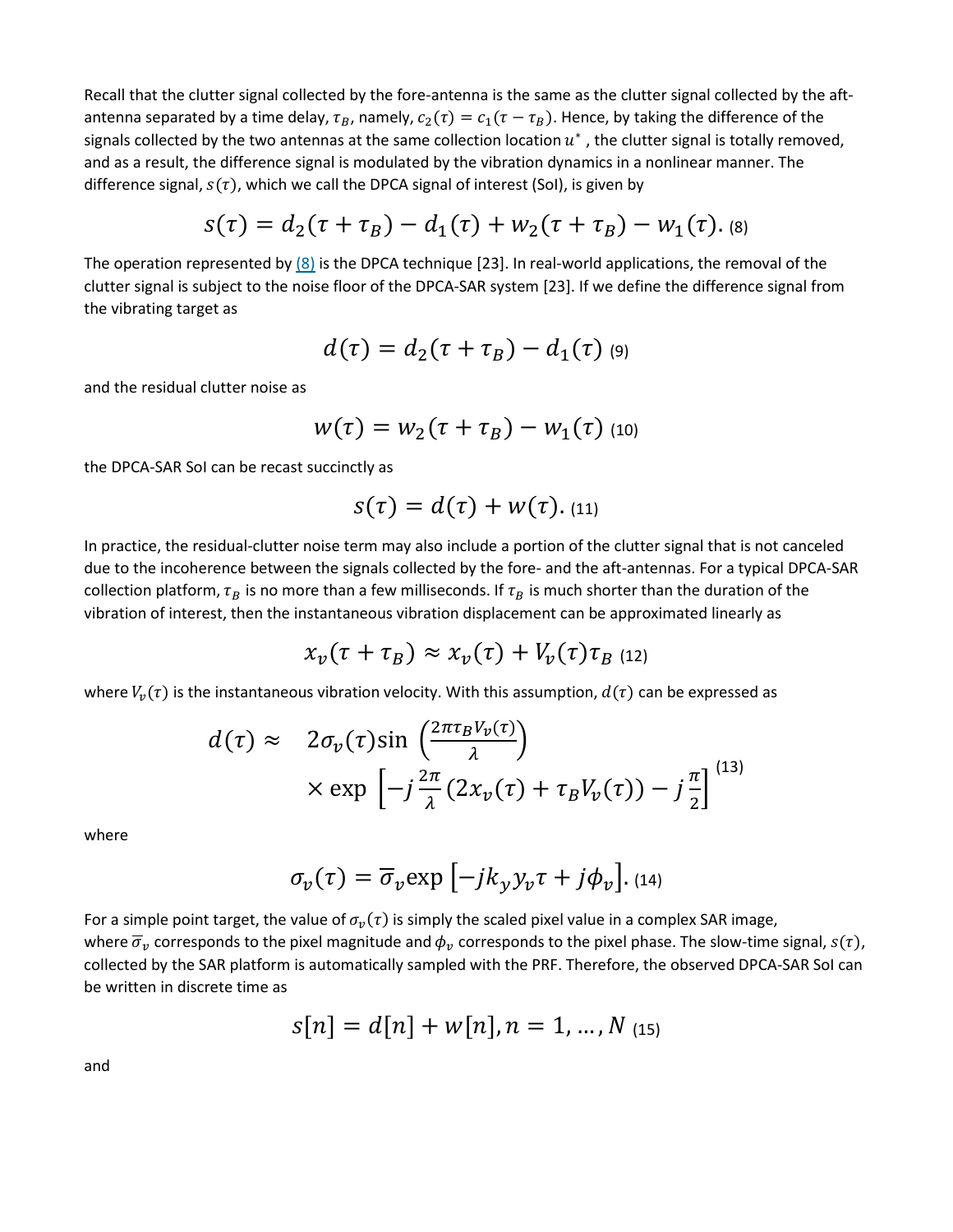Recall that the clutter signal collected by the fore-antenna is the same as the clutter signal collected by the aftantenna separated by a time delay,  $\tau_B$ , namely,  $c_2(\tau) = c_1(\tau - \tau_B)$ . Hence, by taking the difference of the signals collected by the two antennas at the same collection location  $u^*$ , the clutter signal is totally removed, and as a result, the difference signal is modulated by the vibration dynamics in a nonlinear manner. The difference signal,  $s(\tau)$ , which we call the DPCA signal of interest (SoI), is given by

$$
s(\tau) = d_2(\tau + \tau_B) - d_1(\tau) + w_2(\tau + \tau_B) - w_1(\tau).
$$
 (8)

The operation represented by  $(8)$  is the DPCA technique [23]. In real-world applications, the removal of the clutter signal is subject to the noise floor of the DPCA-SAR system [23]. If we define the difference signal from the vibrating target as

$$
d(\tau) = d_2(\tau + \tau_B) - d_1(\tau) \, \text{(9)}
$$

and the residual clutter noise as

$$
w(\tau) = w_2(\tau + \tau_B) - w_1(\tau) \, \text{(10)}
$$

the DPCA-SAR SoI can be recast succinctly as

$$
s(\tau)=d(\tau)+w(\tau). (11)
$$

In practice, the residual-clutter noise term may also include a portion of the clutter signal that is not canceled due to the incoherence between the signals collected by the fore- and the aft-antennas. For a typical DPCA-SAR collection platform,  $\tau_B$  is no more than a few milliseconds. If  $\tau_B$  is much shorter than the duration of the vibration of interest, then the instantaneous vibration displacement can be approximated linearly as

$$
x_{\nu}(\tau+\tau_B)\approx x_{\nu}(\tau)+V_{\nu}(\tau)\tau_B
$$
 (12)

where  $V_v(\tau)$  is the instantaneous vibration velocity. With this assumption,  $d(\tau)$  can be expressed as

$$
d(\tau) \approx 2\sigma_{\nu}(\tau)\sin\left(\frac{2\pi\tau_{B}V_{\nu}(\tau)}{\lambda}\right)
$$

$$
\times \exp\left[-j\frac{2\pi}{\lambda}(2x_{\nu}(\tau) + \tau_{B}V_{\nu}(\tau)) - j\frac{\pi}{2}\right]^{(13)}
$$

where

$$
\sigma_{\nu}(\tau) = \overline{\sigma}_{\nu} \exp\left[-jk_{y}y_{\nu}\tau + j\phi_{\nu}\right].
$$
 (14)

For a simple point target, the value of  $\sigma_{\nu}(\tau)$  is simply the scaled pixel value in a complex SAR image, where  $\overline{\sigma}_v$  corresponds to the pixel magnitude and  $\phi_v$  corresponds to the pixel phase. The slow-time signal,  $s(\tau)$ , collected by the SAR platform is automatically sampled with the PRF. Therefore, the observed DPCA-SAR SoI can be written in discrete time as

$$
s[n] = d[n] + w[n], n = 1, ..., N_{(15)}
$$

and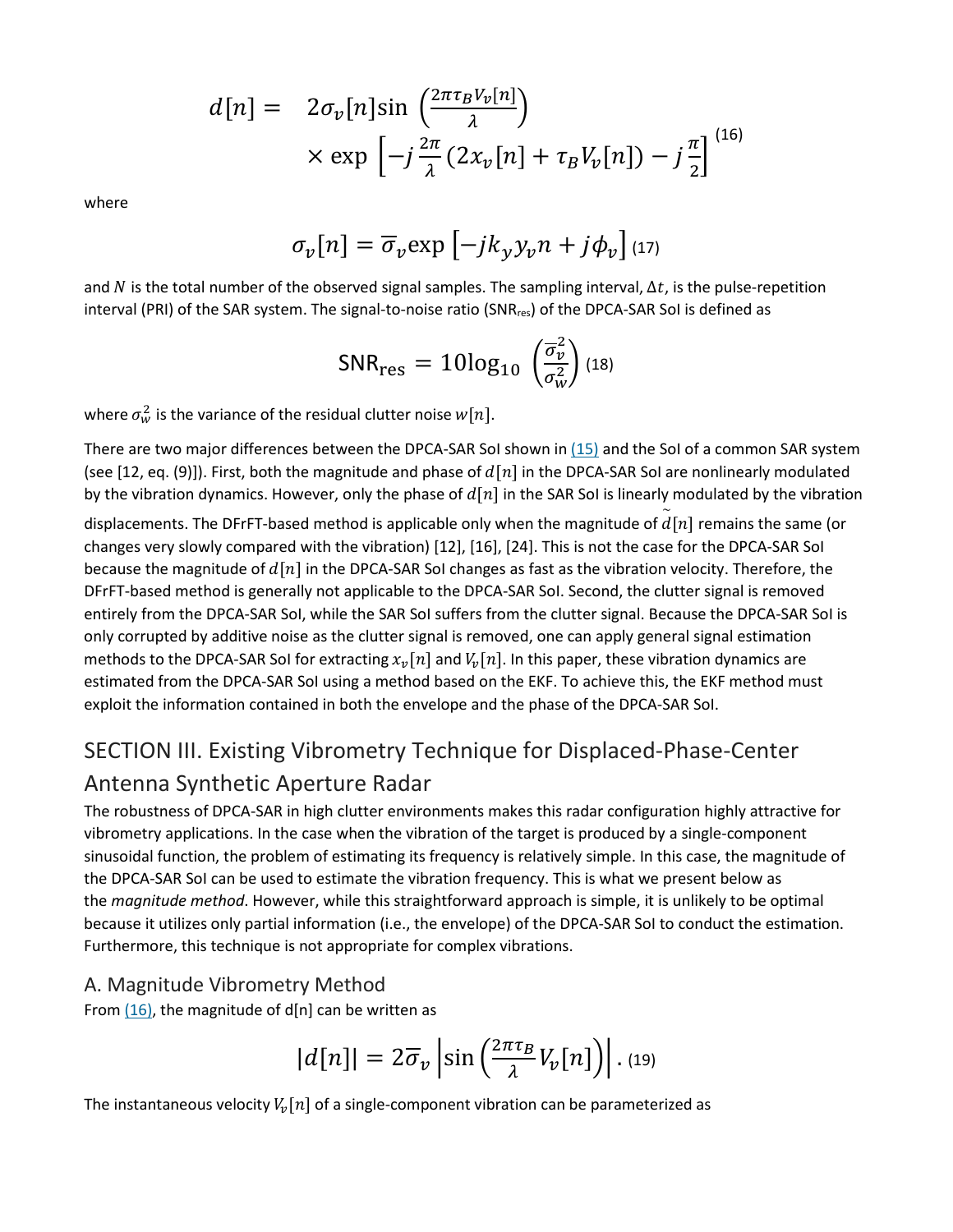$$
d[n] = 2\sigma_v[n] \sin\left(\frac{2\pi\tau_B V_v[n]}{\lambda}\right)
$$

$$
\times \exp\left[-j\frac{2\pi}{\lambda}(2x_v[n] + \tau_B V_v[n]) - j\frac{\pi}{2}\right]^{(16)}
$$

where

$$
\sigma_{v}[n] = \overline{\sigma}_{v} \exp \left[-j k_{y} y_{v} n + j \phi_{v}\right]
$$
 (17)

and N is the total number of the observed signal samples. The sampling interval,  $\Delta t$ , is the pulse-repetition interval (PRI) of the SAR system. The signal-to-noise ratio (SNR<sub>res</sub>) of the DPCA-SAR SoI is defined as

$$
SNR_{\text{res}} = 10\log_{10}\left(\frac{\overline{\sigma}_{\nu}^2}{\sigma_{\text{w}}^2}\right)
$$
 (18)

where  $\sigma_w^2$  is the variance of the residual clutter noise  $w[n].$ 

There are two major differences between the DPCA-SAR SoI shown in  $(15)$  and the SoI of a common SAR system (see [12, eq. (9)]). First, both the magnitude and phase of  $d[n]$  in the DPCA-SAR SoI are nonlinearly modulated by the vibration dynamics. However, only the phase of  $d[n]$  in the SAR SoI is linearly modulated by the vibration

displacements. The DFrFT-based method is applicable only when the magnitude of  $\widetilde{d}[n]$  remains the same (or changes very slowly compared with the vibration) [12], [16], [24]. This is not the case for the DPCA-SAR SoI because the magnitude of  $d[n]$  in the DPCA-SAR SoI changes as fast as the vibration velocity. Therefore, the DFrFT-based method is generally not applicable to the DPCA-SAR SoI. Second, the clutter signal is removed entirely from the DPCA-SAR SoI, while the SAR SoI suffers from the clutter signal. Because the DPCA-SAR SoI is only corrupted by additive noise as the clutter signal is removed, one can apply general signal estimation methods to the DPCA-SAR SoI for extracting  $x_{n}[n]$  and  $V_{n}[n]$ . In this paper, these vibration dynamics are estimated from the DPCA-SAR SoI using a method based on the EKF. To achieve this, the EKF method must exploit the information contained in both the envelope and the phase of the DPCA-SAR SoI.

# SECTION III. Existing Vibrometry Technique for Displaced-Phase-Center Antenna Synthetic Aperture Radar

The robustness of DPCA-SAR in high clutter environments makes this radar configuration highly attractive for vibrometry applications. In the case when the vibration of the target is produced by a single-component sinusoidal function, the problem of estimating its frequency is relatively simple. In this case, the magnitude of the DPCA-SAR SoI can be used to estimate the vibration frequency. This is what we present below as the *magnitude method*. However, while this straightforward approach is simple, it is unlikely to be optimal because it utilizes only partial information (i.e., the envelope) of the DPCA-SAR SoI to conduct the estimation. Furthermore, this technique is not appropriate for complex vibrations.

#### A. Magnitude Vibrometry Method

From  $(16)$ , the magnitude of d[n] can be written as

$$
|d[n]| = 2\overline{\sigma}_{\nu} \left| \sin \left( \frac{2\pi \tau_B}{\lambda} V_{\nu}[n] \right) \right| . \tag{19}
$$

The instantaneous velocity  $V_{\nu}[n]$  of a single-component vibration can be parameterized as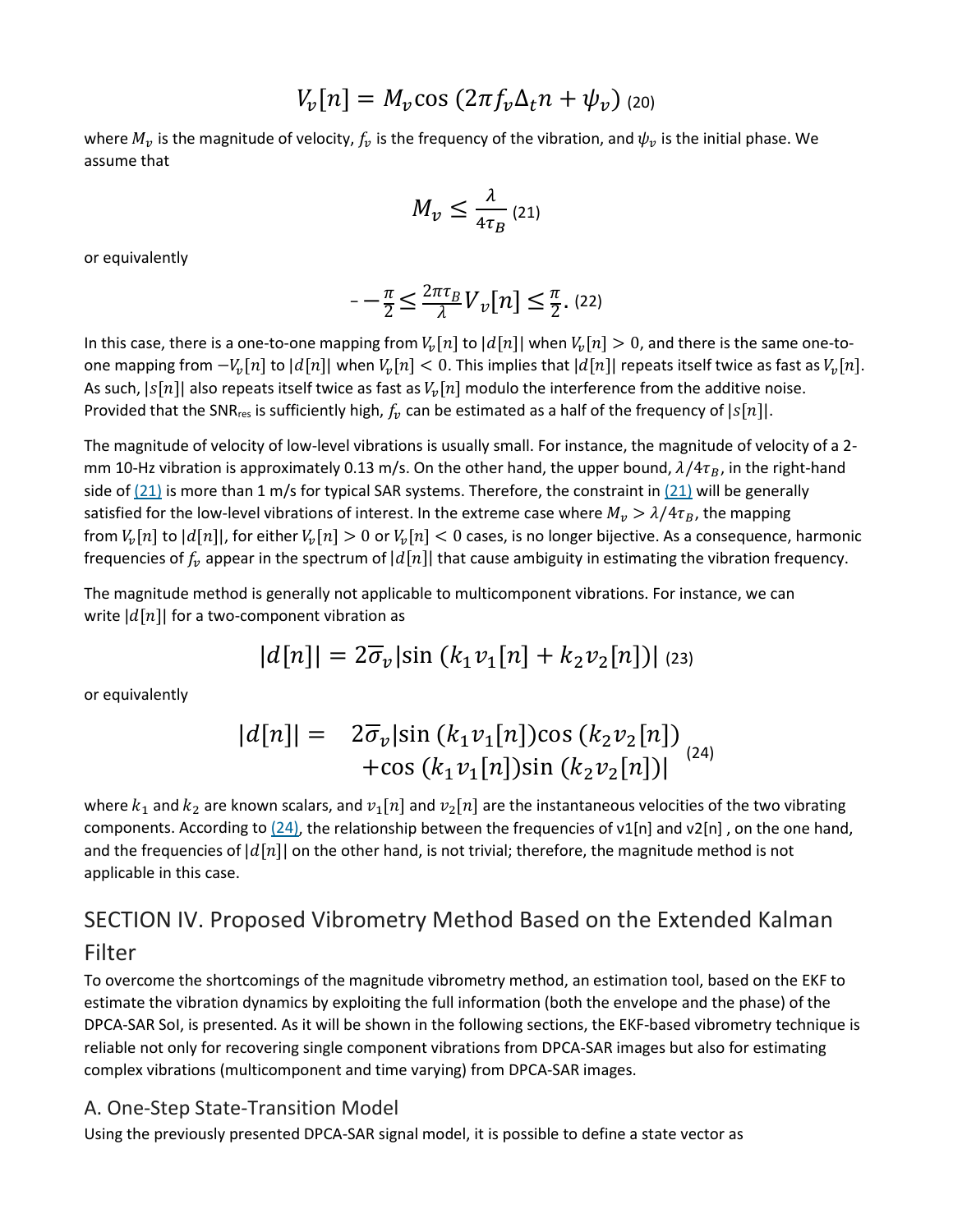$$
V_v[n] = M_v \cos(2\pi f_v \Delta_t n + \psi_v)
$$
 (20)

where  $M_v$  is the magnitude of velocity,  $f_v$  is the frequency of the vibration, and  $\psi_v$  is the initial phase. We assume that

$$
M_{\nu} \leq \frac{\lambda}{4\tau_B} \, (21)
$$

or equivalently

$$
-\frac{\pi}{2} \leq \frac{2\pi\tau_B}{\lambda} V_{\nu}[n] \leq \frac{\pi}{2}.
$$
 (22)

In this case, there is a one-to-one mapping from  $V_p[n]$  to  $|d[n]|$  when  $V_p[n] > 0$ , and there is the same one-toone mapping from  $-V_{\nu}[n]$  to  $|d[n]|$  when  $V_{\nu}[n] < 0$ . This implies that  $|d[n]|$  repeats itself twice as fast as  $V_{\nu}[n]$ . As such,  $|S[n]|$  also repeats itself twice as fast as  $V_{\nu}[n]$  modulo the interference from the additive noise. Provided that the SNR<sub>res</sub> is sufficiently high,  $f_\nu$  can be estimated as a half of the frequency of  $|S[n]|$ .

The magnitude of velocity of low-level vibrations is usually small. For instance, the magnitude of velocity of a 2 mm 10-Hz vibration is approximately 0.13 m/s. On the other hand, the upper bound,  $\lambda/4\tau_B$ , in the right-hand side of  $(21)$  is more than 1 m/s for typical SAR systems. Therefore, the constraint in  $(21)$  will be generally satisfied for the low-level vibrations of interest. In the extreme case where  $M_{\nu} > \lambda/4\tau_B$ , the mapping from  $V_v[n]$  to  $|d[n]|$ , for either  $V_v[n] > 0$  or  $V_v[n] < 0$  cases, is no longer bijective. As a consequence, harmonic frequencies of  $f_v$  appear in the spectrum of  $|d[n]|$  that cause ambiguity in estimating the vibration frequency.

The magnitude method is generally not applicable to multicomponent vibrations. For instance, we can write  $|d[n]|$  for a two-component vibration as

$$
|d[n]| = 2\overline{\sigma}_{v}|\sin (k_{1}v_{1}[n] + k_{2}v_{2}[n])|
$$
 (23)

or equivalently

$$
|d[n]| = 2\overline{\sigma}_{v}|\sin (k_{1}v_{1}[n])\cos (k_{2}v_{2}[n]) + \cos (k_{1}v_{1}[n])\sin (k_{2}v_{2}[n])|^{(24)}
$$

where  $k_1$  and  $k_2$  are known scalars, and  $v_1[n]$  and  $v_2[n]$  are the instantaneous velocities of the two vibrating components. According to  $(24)$ , the relationship between the frequencies of v1[n] and v2[n], on the one hand, and the frequencies of  $|d[n]|$  on the other hand, is not trivial; therefore, the magnitude method is not applicable in this case.

### SECTION IV. Proposed Vibrometry Method Based on the Extended Kalman Filter

To overcome the shortcomings of the magnitude vibrometry method, an estimation tool, based on the EKF to estimate the vibration dynamics by exploiting the full information (both the envelope and the phase) of the DPCA-SAR SoI, is presented. As it will be shown in the following sections, the EKF-based vibrometry technique is reliable not only for recovering single component vibrations from DPCA-SAR images but also for estimating complex vibrations (multicomponent and time varying) from DPCA-SAR images.

#### A. One-Step State-Transition Model

Using the previously presented DPCA-SAR signal model, it is possible to define a state vector as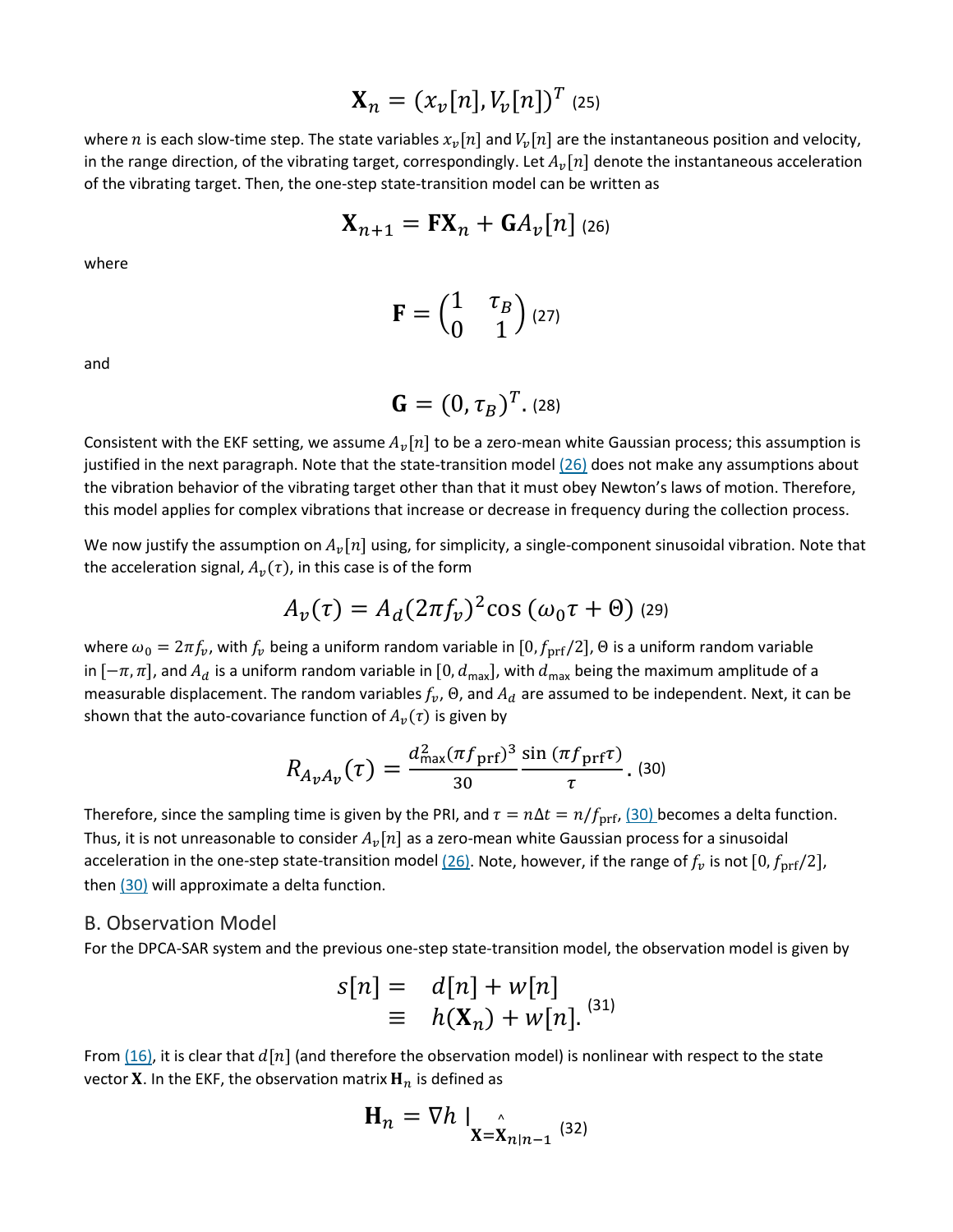$$
\mathbf{X}_n = (x_v[n], V_v[n])^T
$$
 (25)

where *n* is each slow-time step. The state variables  $x_v[n]$  and  $V_v[n]$  are the instantaneous position and velocity, in the range direction, of the vibrating target, correspondingly. Let  $A_v[n]$  denote the instantaneous acceleration of the vibrating target. Then, the one-step state-transition model can be written as

$$
\mathbf{X}_{n+1} = \mathbf{F} \mathbf{X}_n + \mathbf{G} A_{\nu}[n] \; \text{(26)}
$$

where

$$
\mathbf{F} = \begin{pmatrix} 1 & \tau_B \\ 0 & 1 \end{pmatrix} (27)
$$

and

$$
\mathbf{G}=(0,\tau_B)^T. \text{ (28)}
$$

Consistent with the EKF setting, we assume  $A_v[n]$  to be a zero-mean white Gaussian process; this assumption is justified in the next paragraph. Note that the state-transition model [\(26\)](https://ieeexplore.ieee.org/document/#deqn26) does not make any assumptions about the vibration behavior of the vibrating target other than that it must obey Newton's laws of motion. Therefore, this model applies for complex vibrations that increase or decrease in frequency during the collection process.

We now justify the assumption on  $A_p[n]$  using, for simplicity, a single-component sinusoidal vibration. Note that the acceleration signal,  $A<sub>v</sub>(\tau)$ , in this case is of the form

$$
A_v(\tau) = A_d (2\pi f_v)^2 \cos (\omega_0 \tau + \Theta)
$$
 (29)

where  $\omega_0 = 2\pi f_v$ , with  $f_v$  being a uniform random variable in [0,  $f_{\text{prf}}/2$ ],  $\Theta$  is a uniform random variable in  $[-\pi, \pi]$ , and  $A_d$  is a uniform random variable in [0,  $d_{\text{max}}$ ], with  $d_{\text{max}}$  being the maximum amplitude of a measurable displacement. The random variables  $f_v$ ,  $\Theta$ , and  $A_d$  are assumed to be independent. Next, it can be shown that the auto-covariance function of  $A_v(\tau)$  is given by

$$
R_{A_{\nu}A_{\nu}}(\tau) = \frac{d_{\max}^2(\pi f_{\text{prf}})^3}{30} \frac{\sin(\pi f_{\text{prf}}\tau)}{\tau}.
$$
 (30)

Therefore, since the sampling time is given by the PRI, and  $\tau = n\Delta t = n/f_{\text{prf}}$ , [\(30\)](https://ieeexplore.ieee.org/document/#deqn30) becomes a delta function. Thus, it is not unreasonable to consider  $A_{\nu}[n]$  as a zero-mean white Gaussian process for a sinusoidal acceleration in the one-step state-transition model  $(26)$ . Note, however, if the range of  $f_v$  is not  $[0, f_{\text{prf}}/2]$ , then [\(30\)](https://ieeexplore.ieee.org/document/#deqn30) will approximate a delta function.

#### B. Observation Model

For the DPCA-SAR system and the previous one-step state-transition model, the observation model is given by

$$
s[n] = d[n] + w[n]
$$
  
\n
$$
\equiv h(\mathbf{X}_n) + w[n].
$$
<sup>(31)</sup>

From [\(16\),](https://ieeexplore.ieee.org/document/#deqn16) it is clear that  $d[n]$  (and therefore the observation model) is nonlinear with respect to the state vector **X**. In the EKF, the observation matrix  $\mathbf{H}_n$  is defined as

$$
\mathbf{H}_n = \nabla h \big|_{\mathbf{X} = \mathbf{X}_{n|n-1}} \text{ (32)}
$$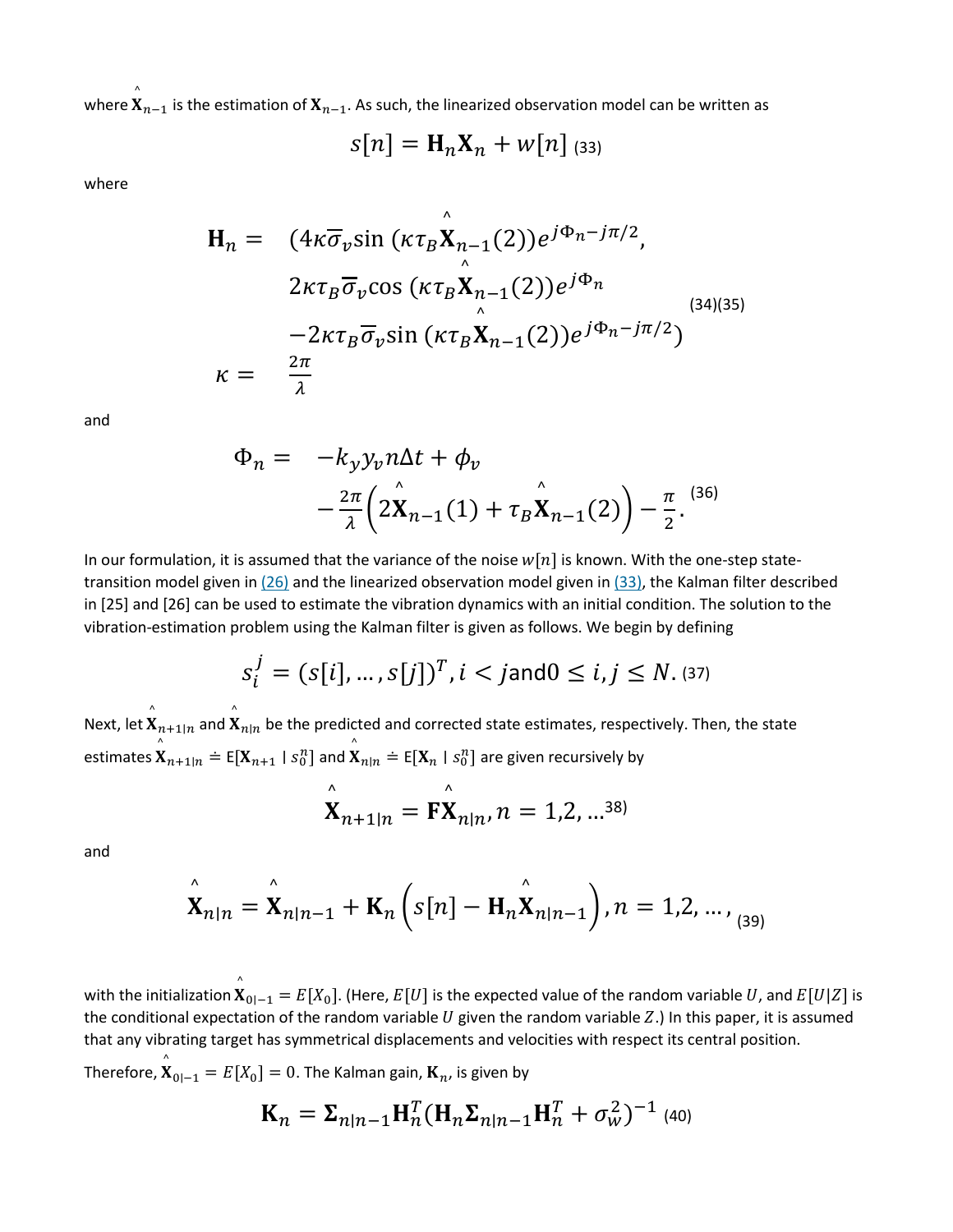where  $\overset{\sim}{\mathbf{X}}_{n-1}$  is the estimation of  $\mathbf{X}_{n-1}.$  As such, the linearized observation model can be written as

$$
s[n] = \mathbf{H}_n \mathbf{X}_n + w[n] \text{ (33)}
$$

where

$$
\mathbf{H}_{n} = (4\kappa \overline{\sigma}_{v} \sin (\kappa \tau_{B} \mathbf{\hat{X}}_{n-1}(2)) e^{j\Phi_{n} - j\pi/2},
$$
  
\n
$$
2\kappa \tau_{B} \overline{\sigma}_{v} \cos (\kappa \tau_{B} \mathbf{\hat{X}}_{n-1}(2)) e^{j\Phi_{n}}
$$
  
\n
$$
-2\kappa \tau_{B} \overline{\sigma}_{v} \sin (\kappa \tau_{B} \mathbf{\hat{X}}_{n-1}(2)) e^{j\Phi_{n} - j\pi/2},
$$
  
\n
$$
\kappa = \frac{2\pi}{\lambda}
$$
 (34)(35)

and

$$
\Phi_n = -k_y y_v n \Delta t + \phi_v \n- \frac{2\pi}{\lambda} \left( 2\overset{\wedge}{\mathbf{X}}_{n-1}(1) + \tau_B \overset{\wedge}{\mathbf{X}}_{n-1}(2) \right) - \frac{\pi}{2}.
$$
\n<sup>(36)</sup>

In our formulation, it is assumed that the variance of the noise  $w[n]$  is known. With the one-step state-transition model given in [\(26\)](https://ieeexplore.ieee.org/document/#deqn26) and the linearized observation model given in [\(33\),](https://ieeexplore.ieee.org/document/#deqn33) the Kalman filter described in [25] and [26] can be used to estimate the vibration dynamics with an initial condition. The solution to the vibration-estimation problem using the Kalman filter is given as follows. We begin by defining

$$
s_i^j = (s[i], ..., s[j])^T, i < j \text{ and } 0 \le i, j \le N. \text{ (37)}
$$

Next, let  $\overset{\circ}{X}_{n+1|n}$  and  $\overset{\circ}{X}_{n|n}$  be the predicted and corrected state estimates, respectively. Then, the state estimates  $\overset{\circ}{\mathbf{X}}_{n+1|n} \doteq \mathsf{E}[\mathbf{X}_{n+1} \mid s_0^n]$  and  $\overset{\circ}{\mathbf{X}}_{n|n} \doteq \mathsf{E}[\mathbf{X}_n \mid s_0^n]$  are given recursively by

$$
\mathbf{X}_{n+1|n} = \mathbf{F} \mathbf{X}_{n|n}, n = 1, 2, \dots^{38}
$$

and

$$
\mathbf{\hat{X}}_{n|n} = \mathbf{\hat{X}}_{n|n-1} + \mathbf{K}_n \left( s[n] - \mathbf{H}_n \mathbf{\hat{X}}_{n|n-1} \right), n = 1, 2, ..., (39)
$$

with the initialization  $\stackrel{\sim}{\mathbf{X}}_{0|-1}=E[X_0].$  (Here,  $E[U]$  is the expected value of the random variable  $U$ , and  $E[U|Z]$  is the conditional expectation of the random variable  $U$  given the random variable  $Z$ .) In this paper, it is assumed that any vibrating target has symmetrical displacements and velocities with respect its central position.

Therefore,  $\overset{\circ}{\mathbf{X}}_{0|-1} = E[X_0] = 0.$  The Kalman gain,  $\mathbf{K}_n$ , is given by

$$
\mathbf{K}_n = \mathbf{\Sigma}_{n|n-1} \mathbf{H}_n^T (\mathbf{H}_n \mathbf{\Sigma}_{n|n-1} \mathbf{H}_n^T + \sigma_w^2)^{-1}
$$
 (40)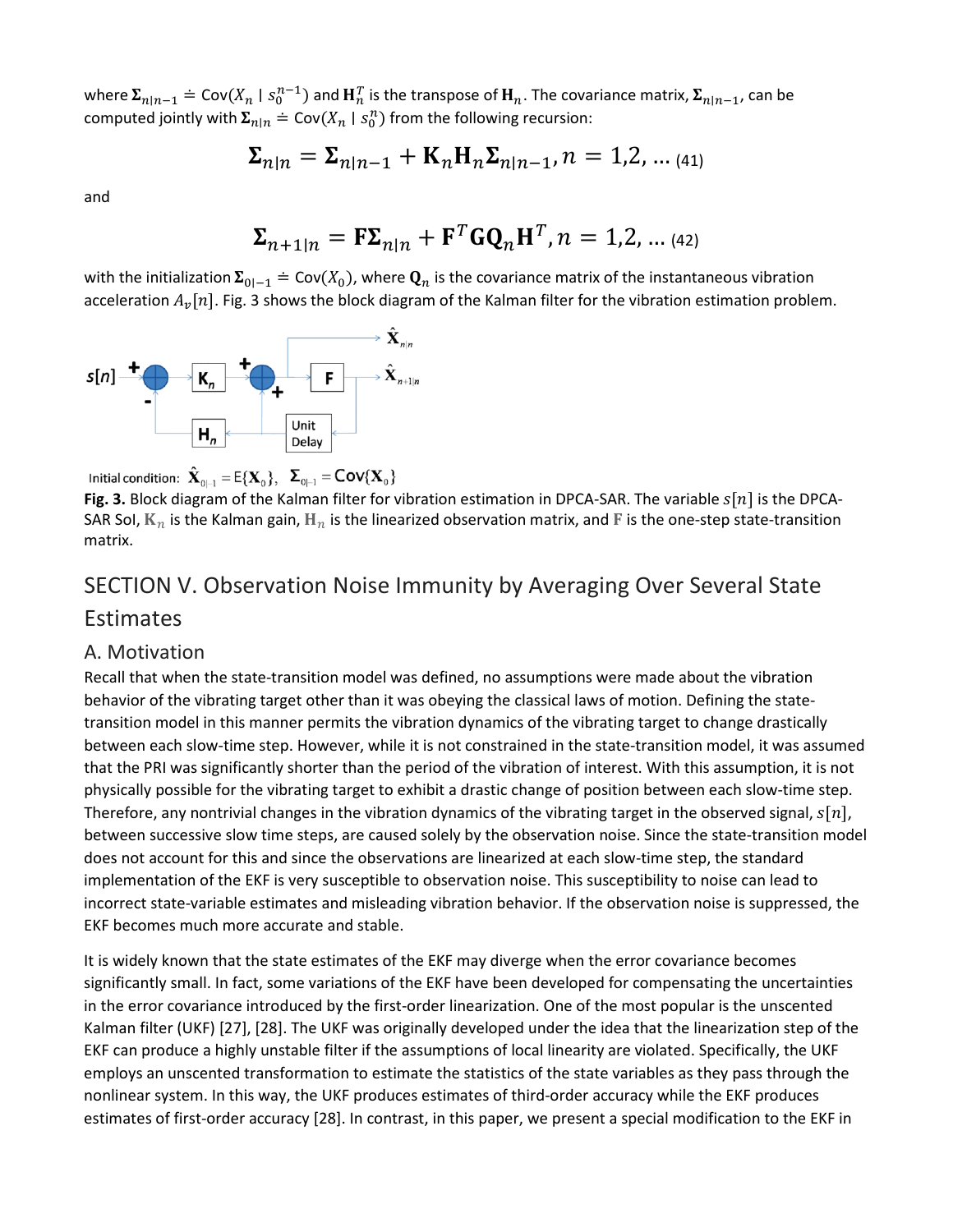where  $\Sigma_{n|n-1} \doteq {\sf Cov}(X_n\mid s_0^{n-1})$  and  ${\bf H}_n^T$  is the transpose of  ${\bf H}_n$ . The covariance matrix,  $\Sigma_{n|n-1}$ , can be computed jointly with  $\Sigma_{n|n} \doteq \text{Cov}(X_n \mid s_0^n)$  from the following recursion:

$$
\Sigma_{n|n} = \Sigma_{n|n-1} + \mathbf{K}_n \mathbf{H}_n \Sigma_{n|n-1}, n = 1, 2, \dots (41)
$$

and

$$
\Sigma_{n+1|n} = \mathbf{F} \Sigma_{n|n} + \mathbf{F}^T \mathbf{G} \mathbf{Q}_n \mathbf{H}^T, n = 1, 2, \dots (42)
$$

with the initialization  $\Sigma_{0|-1}$  ≐ Cov( $X_0$ ), where  $\mathbf{Q}_n$  is the covariance matrix of the instantaneous vibration acceleration  $A_{\nu}[n]$ . Fig. 3 shows the block diagram of the Kalman filter for the vibration estimation problem.



 $\text{Initial condition: } \hat{\textbf{X}}_{0 \mid \negthinspace - \negthinspace 1} = \negthinspace \textnormal{\texttt{E}}\{\textbf{X}_0\}, \text{ } \textbf{ \Sigma}_{0 \mid \negthinspace - \negthinspace 1} = \textbf{Cov}\{\textbf{X}_0\}$ 

**Fig. 3.** Block diagram of the Kalman filter for vibration estimation in DPCA-SAR. The variable  $s[n]$  is the DPCA-SAR SoI,  $K_n$  is the Kalman gain,  $H_n$  is the linearized observation matrix, and F is the one-step state-transition matrix.

### SECTION V. Observation Noise Immunity by Averaging Over Several State **Estimates**

#### A. Motivation

Recall that when the state-transition model was defined, no assumptions were made about the vibration behavior of the vibrating target other than it was obeying the classical laws of motion. Defining the statetransition model in this manner permits the vibration dynamics of the vibrating target to change drastically between each slow-time step. However, while it is not constrained in the state-transition model, it was assumed that the PRI was significantly shorter than the period of the vibration of interest. With this assumption, it is not physically possible for the vibrating target to exhibit a drastic change of position between each slow-time step. Therefore, any nontrivial changes in the vibration dynamics of the vibrating target in the observed signal,  $s[n]$ , between successive slow time steps, are caused solely by the observation noise. Since the state-transition model does not account for this and since the observations are linearized at each slow-time step, the standard implementation of the EKF is very susceptible to observation noise. This susceptibility to noise can lead to incorrect state-variable estimates and misleading vibration behavior. If the observation noise is suppressed, the EKF becomes much more accurate and stable.

It is widely known that the state estimates of the EKF may diverge when the error covariance becomes significantly small. In fact, some variations of the EKF have been developed for compensating the uncertainties in the error covariance introduced by the first-order linearization. One of the most popular is the unscented Kalman filter (UKF) [27], [28]. The UKF was originally developed under the idea that the linearization step of the EKF can produce a highly unstable filter if the assumptions of local linearity are violated. Specifically, the UKF employs an unscented transformation to estimate the statistics of the state variables as they pass through the nonlinear system. In this way, the UKF produces estimates of third-order accuracy while the EKF produces estimates of first-order accuracy [28]. In contrast, in this paper, we present a special modification to the EKF in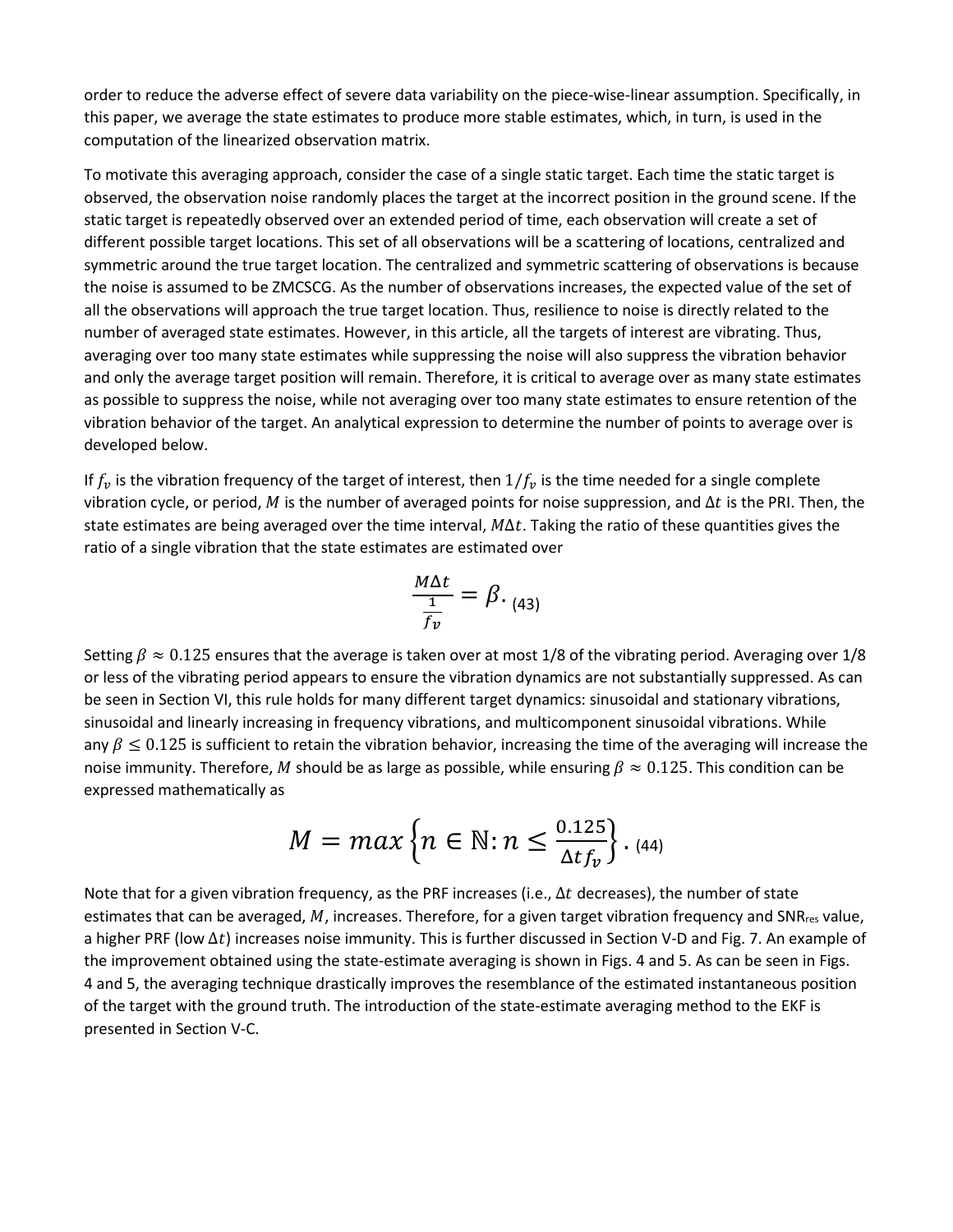order to reduce the adverse effect of severe data variability on the piece-wise-linear assumption. Specifically, in this paper, we average the state estimates to produce more stable estimates, which, in turn, is used in the computation of the linearized observation matrix.

To motivate this averaging approach, consider the case of a single static target. Each time the static target is observed, the observation noise randomly places the target at the incorrect position in the ground scene. If the static target is repeatedly observed over an extended period of time, each observation will create a set of different possible target locations. This set of all observations will be a scattering of locations, centralized and symmetric around the true target location. The centralized and symmetric scattering of observations is because the noise is assumed to be ZMCSCG. As the number of observations increases, the expected value of the set of all the observations will approach the true target location. Thus, resilience to noise is directly related to the number of averaged state estimates. However, in this article, all the targets of interest are vibrating. Thus, averaging over too many state estimates while suppressing the noise will also suppress the vibration behavior and only the average target position will remain. Therefore, it is critical to average over as many state estimates as possible to suppress the noise, while not averaging over too many state estimates to ensure retention of the vibration behavior of the target. An analytical expression to determine the number of points to average over is developed below.

If  $f_n$  is the vibration frequency of the target of interest, then  $1/f_n$  is the time needed for a single complete vibration cycle, or period, M is the number of averaged points for noise suppression, and  $\Delta t$  is the PRI. Then, the state estimates are being averaged over the time interval,  $M\Delta t$ . Taking the ratio of these quantities gives the ratio of a single vibration that the state estimates are estimated over

$$
\frac{M\Delta t}{\frac{1}{f_v}} = \beta \cdot (43)
$$

Setting  $\beta \approx 0.125$  ensures that the average is taken over at most 1/8 of the vibrating period. Averaging over 1/8 or less of the vibrating period appears to ensure the vibration dynamics are not substantially suppressed. As can be seen in Section VI, this rule holds for many different target dynamics: sinusoidal and stationary vibrations, sinusoidal and linearly increasing in frequency vibrations, and multicomponent sinusoidal vibrations. While any  $\beta \leq 0.125$  is sufficient to retain the vibration behavior, increasing the time of the averaging will increase the noise immunity. Therefore, M should be as large as possible, while ensuring  $\beta \approx 0.125$ . This condition can be expressed mathematically as

$$
M = \max\left\{n \in \mathbb{N}: n \leq \frac{0.125}{\Delta t f_v}\right\}.
$$
 (44)

Note that for a given vibration frequency, as the PRF increases (i.e.,  $\Delta t$  decreases), the number of state estimates that can be averaged,  $M$ , increases. Therefore, for a given target vibration frequency and SNR<sub>res</sub> value, a higher PRF (low  $\Delta t$ ) increases noise immunity. This is further discussed in Section V-D and Fig. 7. An example of the improvement obtained using the state-estimate averaging is shown in Figs. 4 and 5. As can be seen in Figs. 4 and 5, the averaging technique drastically improves the resemblance of the estimated instantaneous position of the target with the ground truth. The introduction of the state-estimate averaging method to the EKF is presented in Section V-C.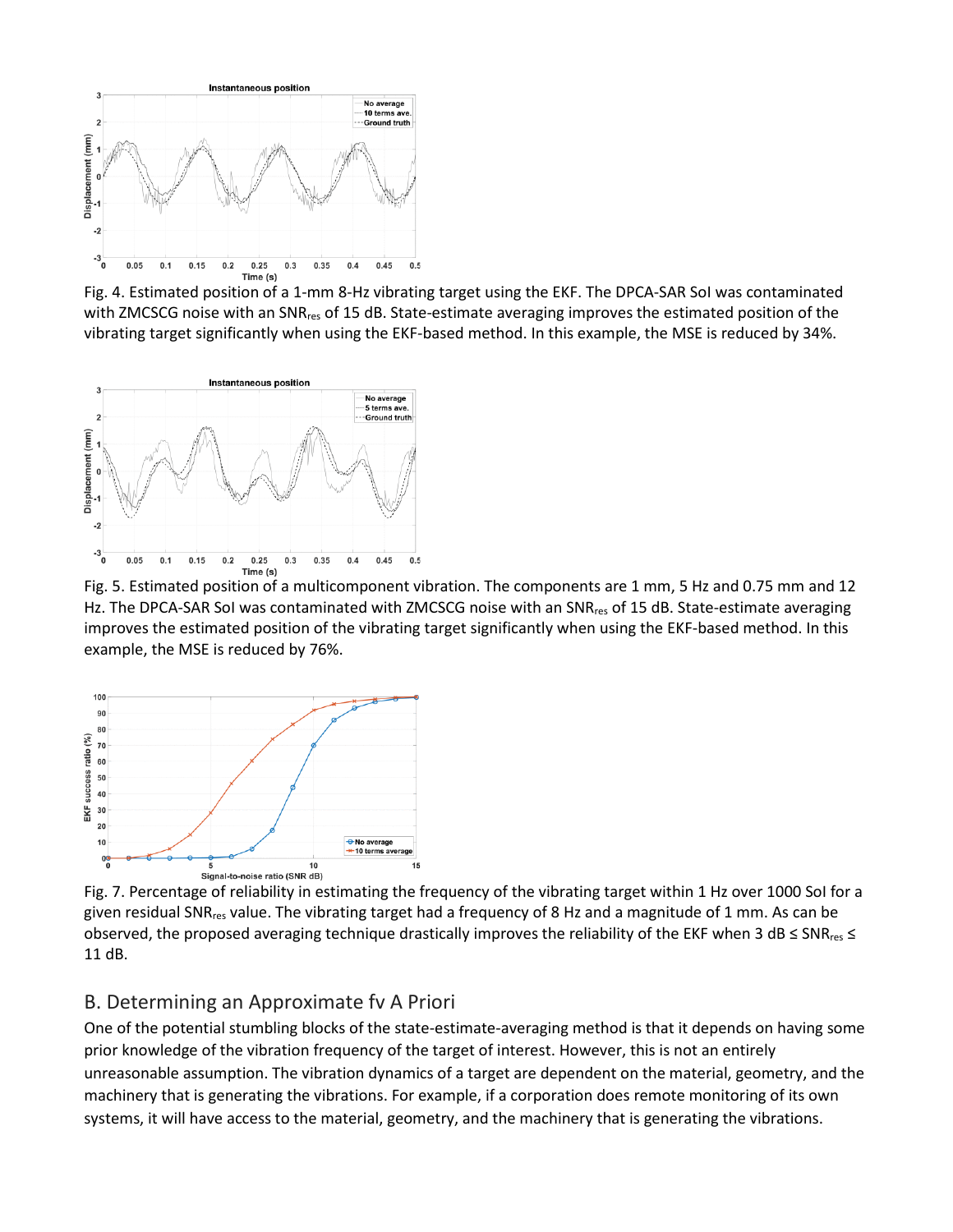

Fig. 4. Estimated position of a 1-mm 8-Hz vibrating target using the EKF. The DPCA-SAR SoI was contaminated with ZMCSCG noise with an SNR<sub>res</sub> of 15 dB. State-estimate averaging improves the estimated position of the vibrating target significantly when using the EKF-based method. In this example, the MSE is reduced by 34%.



Fig. 5. Estimated position of a multicomponent vibration. The components are 1 mm, 5 Hz and 0.75 mm and 12 Hz. The DPCA-SAR Sol was contaminated with ZMCSCG noise with an SNR<sub>res</sub> of 15 dB. State-estimate averaging improves the estimated position of the vibrating target significantly when using the EKF-based method. In this example, the MSE is reduced by 76%.



Fig. 7. Percentage of reliability in estimating the frequency of the vibrating target within 1 Hz over 1000 SoI for a given residual SNR<sub>res</sub> value. The vibrating target had a frequency of 8 Hz and a magnitude of 1 mm. As can be observed, the proposed averaging technique drastically improves the reliability of the EKF when 3 dB ≤ SNR<sub>res</sub> ≤ 11 dB.

#### B. Determining an Approximate fv A Priori

One of the potential stumbling blocks of the state-estimate-averaging method is that it depends on having some prior knowledge of the vibration frequency of the target of interest. However, this is not an entirely unreasonable assumption. The vibration dynamics of a target are dependent on the material, geometry, and the machinery that is generating the vibrations. For example, if a corporation does remote monitoring of its own systems, it will have access to the material, geometry, and the machinery that is generating the vibrations.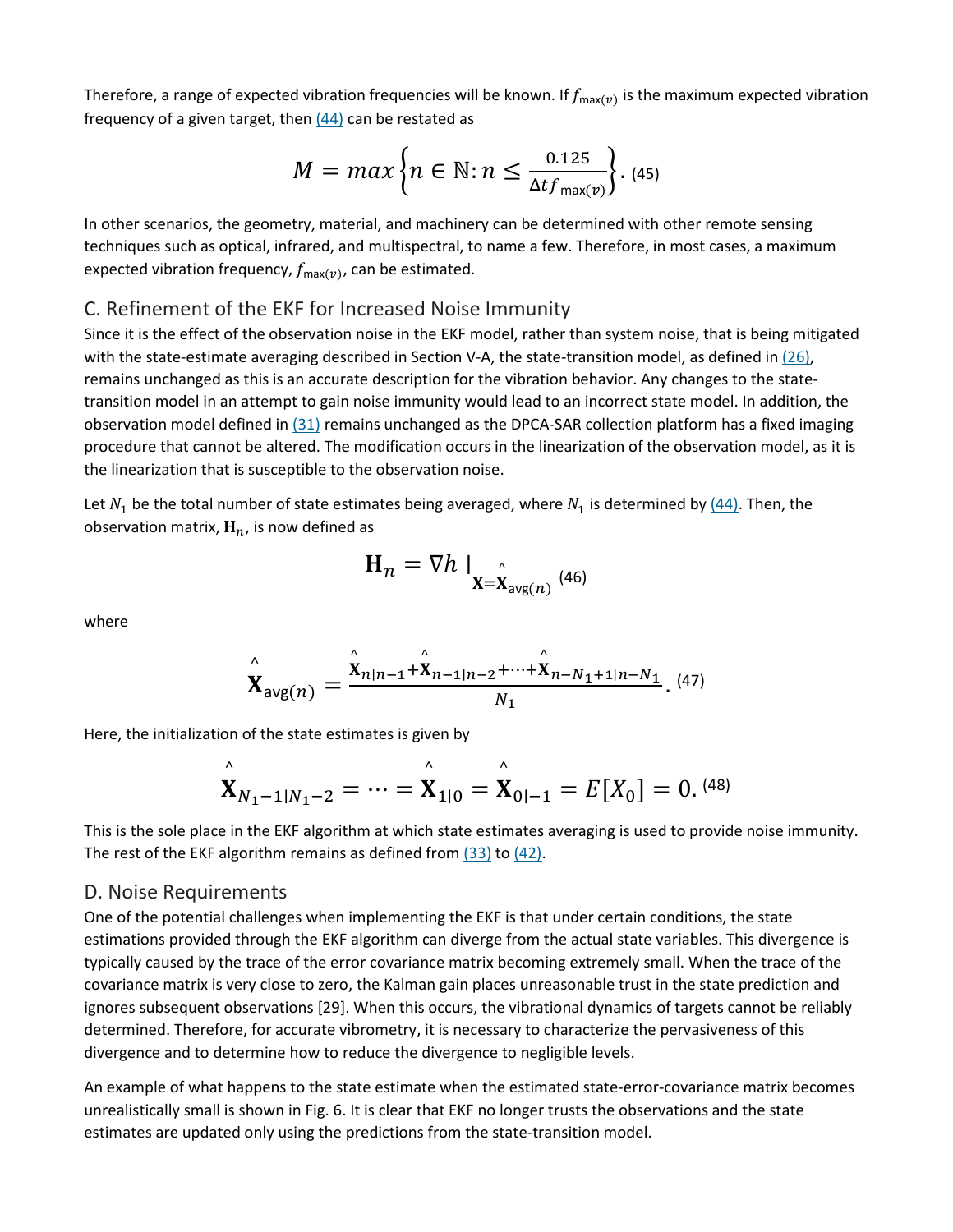Therefore, a range of expected vibration frequencies will be known. If  $f_{\text{max}(\nu)}$  is the maximum expected vibration frequency of a given target, then  $(44)$  can be restated as

$$
M = \max\left\{n \in \mathbb{N}: n \le \frac{0.125}{\Delta t f_{\max(\nu)}}\right\}.
$$
 (45)

In other scenarios, the geometry, material, and machinery can be determined with other remote sensing techniques such as optical, infrared, and multispectral, to name a few. Therefore, in most cases, a maximum expected vibration frequency,  $f_{\text{max}(\nu)}$ , can be estimated.

#### C. Refinement of the EKF for Increased Noise Immunity

Since it is the effect of the observation noise in the EKF model, rather than system noise, that is being mitigated with the state-estimate averaging described in Section V-A, the state-transition model, as defined in  $(26)$ , remains unchanged as this is an accurate description for the vibration behavior. Any changes to the statetransition model in an attempt to gain noise immunity would lead to an incorrect state model. In addition, the observation model defined in [\(31\)](https://ieeexplore.ieee.org/document/#deqn31) remains unchanged as the DPCA-SAR collection platform has a fixed imaging procedure that cannot be altered. The modification occurs in the linearization of the observation model, as it is the linearization that is susceptible to the observation noise.

Let  $N_1$  be the total number of state estimates being averaged, where  $N_1$  is determined by  $(44)$ . Then, the observation matrix,  $H_n$ , is now defined as

$$
\mathbf{H}_n = \nabla h \mid_{\mathbf{X} = \mathbf{X}_{\text{avg}(n)}} \text{ (46)}
$$

where

$$
\mathbf{\hat{X}}_{\text{avg}(n)} = \frac{\hat{\mathbf{X}}_{n|n-1} + \hat{\mathbf{X}}_{n-1|n-2} + \dots + \hat{\mathbf{X}}_{n-N_1+1|n-N_1}}{N_1}.
$$
 (47)

Here, the initialization of the state estimates is given by

$$
\mathbf{X}_{N_1-1|N_1-2} = \dots = \mathbf{X}_{1|0} = \mathbf{X}_{0|-1} = E[X_0] = 0. \tag{48}
$$

This is the sole place in the EKF algorithm at which state estimates averaging is used to provide noise immunity. The rest of the EKF algorithm remains as defined from [\(33\)](https://ieeexplore.ieee.org/document/#deqn33) to [\(42\).](https://ieeexplore.ieee.org/document/#deqn42)

#### D. Noise Requirements

One of the potential challenges when implementing the EKF is that under certain conditions, the state estimations provided through the EKF algorithm can diverge from the actual state variables. This divergence is typically caused by the trace of the error covariance matrix becoming extremely small. When the trace of the covariance matrix is very close to zero, the Kalman gain places unreasonable trust in the state prediction and ignores subsequent observations [29]. When this occurs, the vibrational dynamics of targets cannot be reliably determined. Therefore, for accurate vibrometry, it is necessary to characterize the pervasiveness of this divergence and to determine how to reduce the divergence to negligible levels.

An example of what happens to the state estimate when the estimated state-error-covariance matrix becomes unrealistically small is shown in Fig. 6. It is clear that EKF no longer trusts the observations and the state estimates are updated only using the predictions from the state-transition model.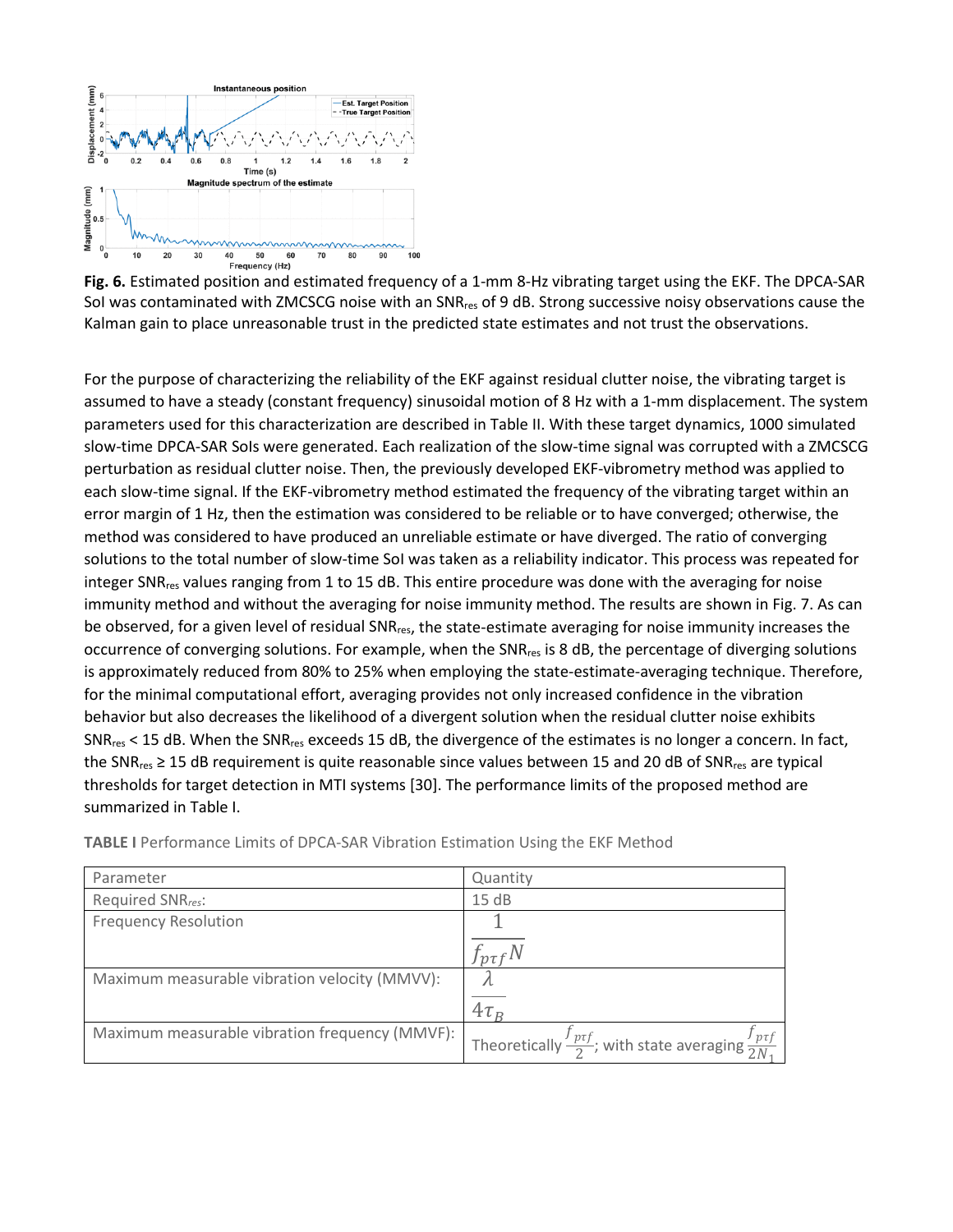

**Fig. 6.** Estimated position and estimated frequency of a 1-mm 8-Hz vibrating target using the EKF. The DPCA-SAR SoI was contaminated with ZMCSCG noise with an SNRres of 9 dB. Strong successive noisy observations cause the Kalman gain to place unreasonable trust in the predicted state estimates and not trust the observations.

For the purpose of characterizing the reliability of the EKF against residual clutter noise, the vibrating target is assumed to have a steady (constant frequency) sinusoidal motion of 8 Hz with a 1-mm displacement. The system parameters used for this characterization are described in Table II. With these target dynamics, 1000 simulated slow-time DPCA-SAR SoIs were generated. Each realization of the slow-time signal was corrupted with a ZMCSCG perturbation as residual clutter noise. Then, the previously developed EKF-vibrometry method was applied to each slow-time signal. If the EKF-vibrometry method estimated the frequency of the vibrating target within an error margin of 1 Hz, then the estimation was considered to be reliable or to have converged; otherwise, the method was considered to have produced an unreliable estimate or have diverged. The ratio of converging solutions to the total number of slow-time SoI was taken as a reliability indicator. This process was repeated for integer SNR<sub>res</sub> values ranging from 1 to 15 dB. This entire procedure was done with the averaging for noise immunity method and without the averaging for noise immunity method. The results are shown in Fig. 7. As can be observed, for a given level of residual SNR<sub>res</sub>, the state-estimate averaging for noise immunity increases the occurrence of converging solutions. For example, when the SNRres is 8 dB, the percentage of diverging solutions is approximately reduced from 80% to 25% when employing the state-estimate-averaging technique. Therefore, for the minimal computational effort, averaging provides not only increased confidence in the vibration behavior but also decreases the likelihood of a divergent solution when the residual clutter noise exhibits SNRres < 15 dB. When the SNRres exceeds 15 dB, the divergence of the estimates is no longer a concern. In fact, the SNR<sub>res</sub>  $\geq$  15 dB requirement is quite reasonable since values between 15 and 20 dB of SNR<sub>res</sub> are typical thresholds for target detection in MTI systems [30]. The performance limits of the proposed method are summarized in Table I.

| Parameter                                      | Quantity                                                                                |
|------------------------------------------------|-----------------------------------------------------------------------------------------|
| Required SNR <sub>res</sub> :                  | 15dB                                                                                    |
| <b>Frequency Resolution</b>                    |                                                                                         |
|                                                | $n_{\mathcal{D}\tau f}N$                                                                |
| Maximum measurable vibration velocity (MMVV):  |                                                                                         |
|                                                | $4\tau_R$                                                                               |
| Maximum measurable vibration frequency (MMVF): | Theoretically $\frac{f_{p\tau f}}{2}$ ; with state averaging $\frac{f_{p\tau f}}{2N_1}$ |
|                                                |                                                                                         |

**TABLE I** Performance Limits of DPCA-SAR Vibration Estimation Using the EKF Method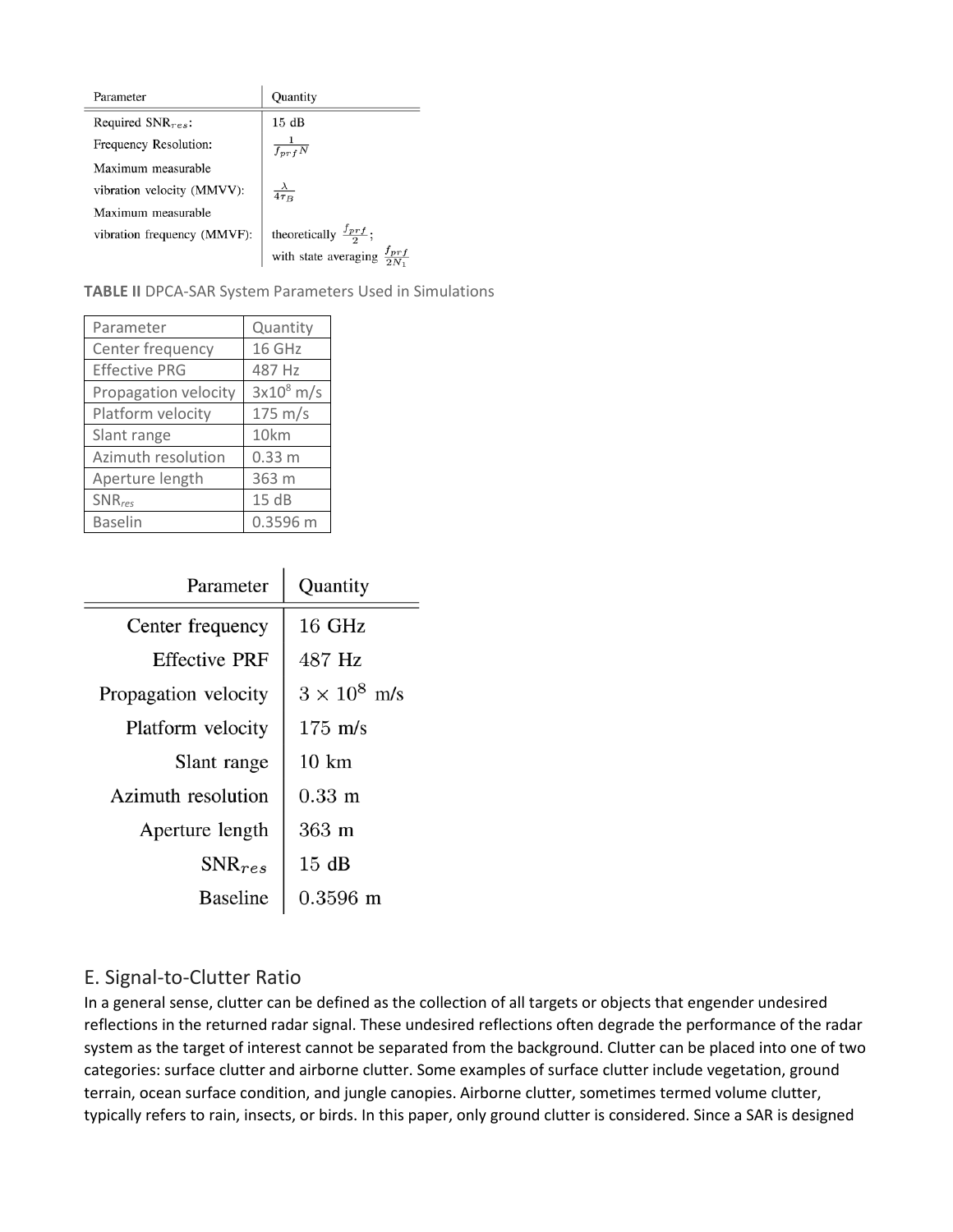| Parameter                   | Quantity                            |
|-----------------------------|-------------------------------------|
| Required $SNR_{res}$ :      | 15dB                                |
| Frequency Resolution:       | $\overline{f_{prf}N}$               |
| Maximum measurable          |                                     |
| vibration velocity (MMVV):  | $rac{\lambda}{4\tau_B}$             |
| Maximum measurable          |                                     |
| vibration frequency (MMVF): | theoretically $\frac{f_{prf}}{2}$ ; |
|                             | with state averaging                |

**TABLE II** DPCA-SAR System Parameters Used in Simulations

| Parameter            | Quantity          |
|----------------------|-------------------|
| Center frequency     | 16 GHz            |
| <b>Effective PRG</b> | 487 Hz            |
| Propagation velocity | $3x10^8$ m/s      |
| Platform velocity    | $175 \text{ m/s}$ |
| Slant range          | 10km              |
| Azimuth resolution   | 0.33 <sub>m</sub> |
| Aperture length      | 363 m             |
| $SNR_{res}$          | 15dB              |
| <b>Baselin</b>       | 0.3596 m          |

| Parameter            | Quantity             |
|----------------------|----------------------|
| Center frequency     | <b>16 GHz</b>        |
| <b>Effective PRF</b> | 487 Hz               |
| Propagation velocity | $3 \times 10^8$ m/s  |
| Platform velocity    | $175 \text{ m/s}$    |
| Slant range          | $10 \text{ km}$      |
| Azimuth resolution   | $0.33 \; \mathrm{m}$ |
| Aperture length      | $363 \text{ m}$      |
| $SNR_{res}$          | 15dB                 |
| <b>Baseline</b>      | $0.3596$ m           |

#### E. Signal-to-Clutter Ratio

In a general sense, clutter can be defined as the collection of all targets or objects that engender undesired reflections in the returned radar signal. These undesired reflections often degrade the performance of the radar system as the target of interest cannot be separated from the background. Clutter can be placed into one of two categories: surface clutter and airborne clutter. Some examples of surface clutter include vegetation, ground terrain, ocean surface condition, and jungle canopies. Airborne clutter, sometimes termed volume clutter, typically refers to rain, insects, or birds. In this paper, only ground clutter is considered. Since a SAR is designed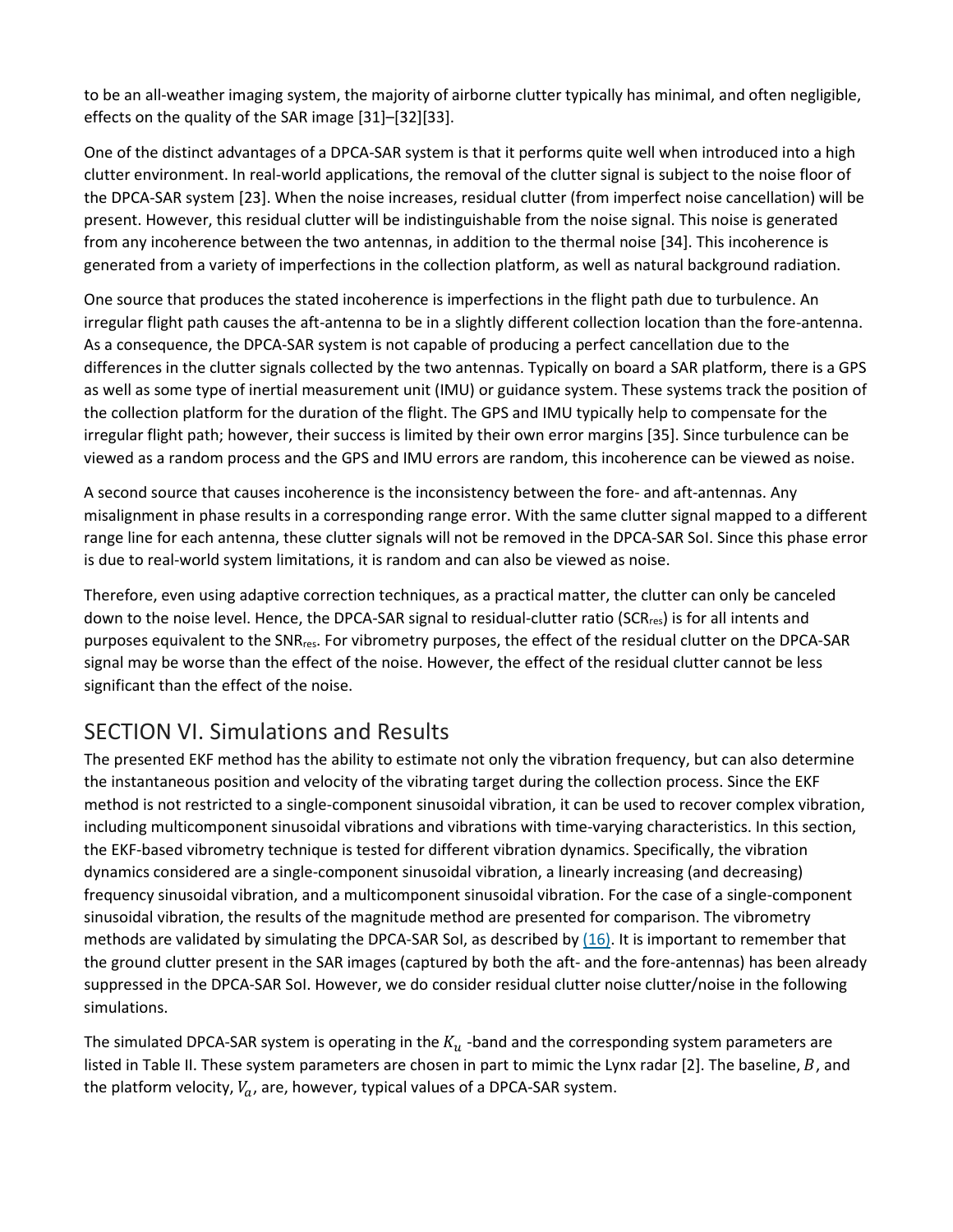to be an all-weather imaging system, the majority of airborne clutter typically has minimal, and often negligible, effects on the quality of the SAR image [31]–[32][33].

One of the distinct advantages of a DPCA-SAR system is that it performs quite well when introduced into a high clutter environment. In real-world applications, the removal of the clutter signal is subject to the noise floor of the DPCA-SAR system [23]. When the noise increases, residual clutter (from imperfect noise cancellation) will be present. However, this residual clutter will be indistinguishable from the noise signal. This noise is generated from any incoherence between the two antennas, in addition to the thermal noise [34]. This incoherence is generated from a variety of imperfections in the collection platform, as well as natural background radiation.

One source that produces the stated incoherence is imperfections in the flight path due to turbulence. An irregular flight path causes the aft-antenna to be in a slightly different collection location than the fore-antenna. As a consequence, the DPCA-SAR system is not capable of producing a perfect cancellation due to the differences in the clutter signals collected by the two antennas. Typically on board a SAR platform, there is a GPS as well as some type of inertial measurement unit (IMU) or guidance system. These systems track the position of the collection platform for the duration of the flight. The GPS and IMU typically help to compensate for the irregular flight path; however, their success is limited by their own error margins [35]. Since turbulence can be viewed as a random process and the GPS and IMU errors are random, this incoherence can be viewed as noise.

A second source that causes incoherence is the inconsistency between the fore- and aft-antennas. Any misalignment in phase results in a corresponding range error. With the same clutter signal mapped to a different range line for each antenna, these clutter signals will not be removed in the DPCA-SAR SoI. Since this phase error is due to real-world system limitations, it is random and can also be viewed as noise.

Therefore, even using adaptive correction techniques, as a practical matter, the clutter can only be canceled down to the noise level. Hence, the DPCA-SAR signal to residual-clutter ratio (SCRres) is for all intents and purposes equivalent to the SNRres. For vibrometry purposes, the effect of the residual clutter on the DPCA-SAR signal may be worse than the effect of the noise. However, the effect of the residual clutter cannot be less significant than the effect of the noise.

### SECTION VI. Simulations and Results

The presented EKF method has the ability to estimate not only the vibration frequency, but can also determine the instantaneous position and velocity of the vibrating target during the collection process. Since the EKF method is not restricted to a single-component sinusoidal vibration, it can be used to recover complex vibration, including multicomponent sinusoidal vibrations and vibrations with time-varying characteristics. In this section, the EKF-based vibrometry technique is tested for different vibration dynamics. Specifically, the vibration dynamics considered are a single-component sinusoidal vibration, a linearly increasing (and decreasing) frequency sinusoidal vibration, and a multicomponent sinusoidal vibration. For the case of a single-component sinusoidal vibration, the results of the magnitude method are presented for comparison. The vibrometry methods are validated by simulating the DPCA-SAR SoI, as described by [\(16\).](https://ieeexplore.ieee.org/document/#deqn16) It is important to remember that the ground clutter present in the SAR images (captured by both the aft- and the fore-antennas) has been already suppressed in the DPCA-SAR SoI. However, we do consider residual clutter noise clutter/noise in the following simulations.

The simulated DPCA-SAR system is operating in the  $K_u$  -band and the corresponding system parameters are listed in Table II. These system parameters are chosen in part to mimic the Lynx radar [2]. The baseline,  $B$ , and the platform velocity,  $V_a$ , are, however, typical values of a DPCA-SAR system.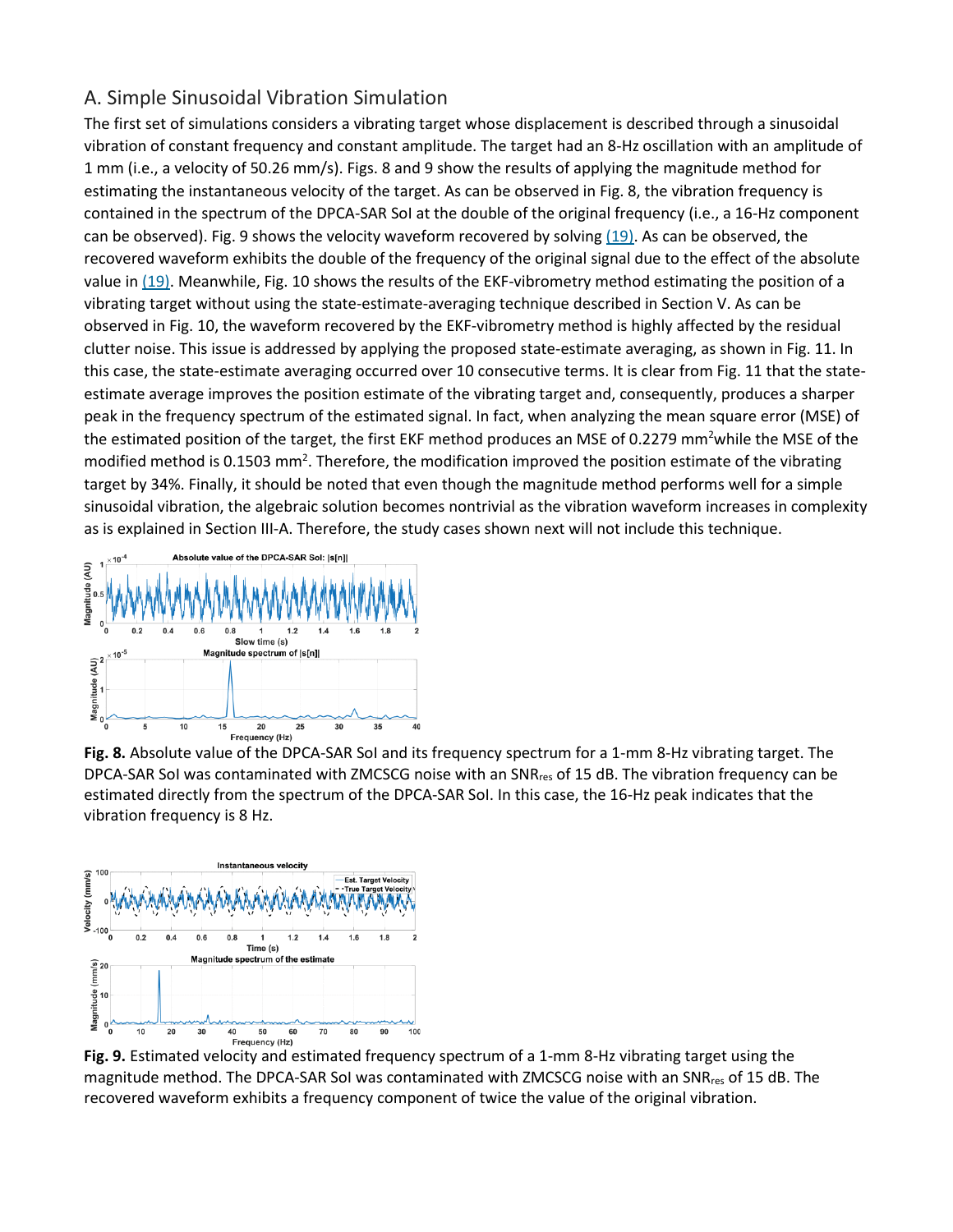#### A. Simple Sinusoidal Vibration Simulation

The first set of simulations considers a vibrating target whose displacement is described through a sinusoidal vibration of constant frequency and constant amplitude. The target had an 8-Hz oscillation with an amplitude of 1 mm (i.e., a velocity of 50.26 mm/s). Figs. 8 and 9 show the results of applying the magnitude method for estimating the instantaneous velocity of the target. As can be observed in Fig. 8, the vibration frequency is contained in the spectrum of the DPCA-SAR SoI at the double of the original frequency (i.e., a 16-Hz component can be observed). Fig. 9 shows the velocity waveform recovered by solving  $(19)$ . As can be observed, the recovered waveform exhibits the double of the frequency of the original signal due to the effect of the absolute value in [\(19\).](https://ieeexplore.ieee.org/document/#deqn19) Meanwhile, Fig. 10 shows the results of the EKF-vibrometry method estimating the position of a vibrating target without using the state-estimate-averaging technique described in Section V. As can be observed in Fig. 10, the waveform recovered by the EKF-vibrometry method is highly affected by the residual clutter noise. This issue is addressed by applying the proposed state-estimate averaging, as shown in Fig. 11. In this case, the state-estimate averaging occurred over 10 consecutive terms. It is clear from Fig. 11 that the stateestimate average improves the position estimate of the vibrating target and, consequently, produces a sharper peak in the frequency spectrum of the estimated signal. In fact, when analyzing the mean square error (MSE) of the estimated position of the target, the first EKF method produces an MSE of 0.2279 mm<sup>2</sup>while the MSE of the modified method is 0.1503 mm<sup>2</sup>. Therefore, the modification improved the position estimate of the vibrating target by 34%. Finally, it should be noted that even though the magnitude method performs well for a simple sinusoidal vibration, the algebraic solution becomes nontrivial as the vibration waveform increases in complexity as is explained in Section III-A. Therefore, the study cases shown next will not include this technique.



**Fig. 8.** Absolute value of the DPCA-SAR SoI and its frequency spectrum for a 1-mm 8-Hz vibrating target. The DPCA-SAR SoI was contaminated with ZMCSCG noise with an SNR<sub>res</sub> of 15 dB. The vibration frequency can be estimated directly from the spectrum of the DPCA-SAR SoI. In this case, the 16-Hz peak indicates that the vibration frequency is 8 Hz.



**Fig. 9.** Estimated velocity and estimated frequency spectrum of a 1-mm 8-Hz vibrating target using the magnitude method. The DPCA-SAR SoI was contaminated with ZMCSCG noise with an SNRres of 15 dB. The recovered waveform exhibits a frequency component of twice the value of the original vibration.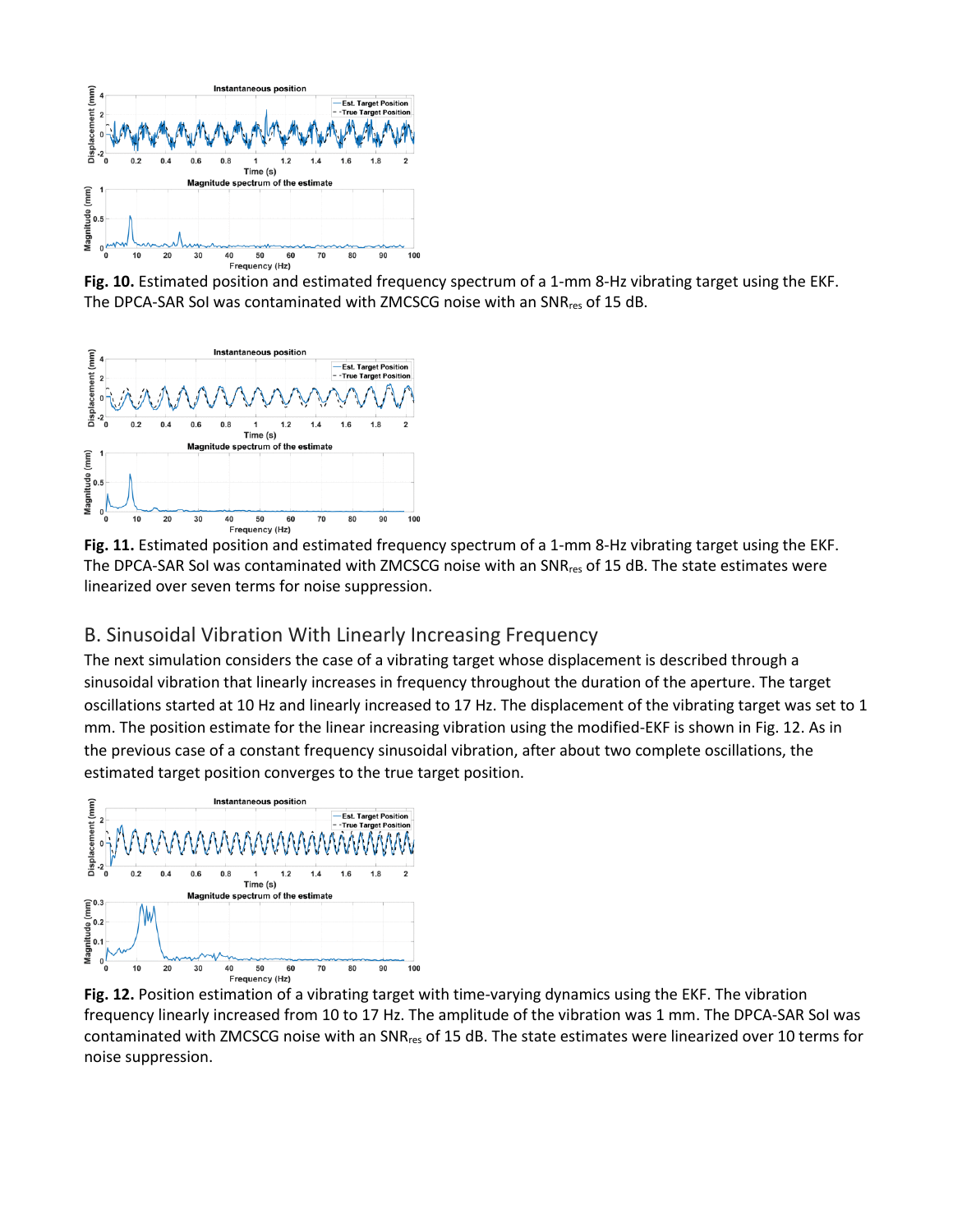

**Fig. 10.** Estimated position and estimated frequency spectrum of a 1-mm 8-Hz vibrating target using the EKF. The DPCA-SAR SoI was contaminated with ZMCSCG noise with an SNRres of 15 dB.



**Fig. 11.** Estimated position and estimated frequency spectrum of a 1-mm 8-Hz vibrating target using the EKF. The DPCA-SAR SoI was contaminated with ZMCSCG noise with an SNR<sub>res</sub> of 15 dB. The state estimates were linearized over seven terms for noise suppression.

#### B. Sinusoidal Vibration With Linearly Increasing Frequency

The next simulation considers the case of a vibrating target whose displacement is described through a sinusoidal vibration that linearly increases in frequency throughout the duration of the aperture. The target oscillations started at 10 Hz and linearly increased to 17 Hz. The displacement of the vibrating target was set to 1 mm. The position estimate for the linear increasing vibration using the modified-EKF is shown in Fig. 12. As in the previous case of a constant frequency sinusoidal vibration, after about two complete oscillations, the estimated target position converges to the true target position.



**Fig. 12.** Position estimation of a vibrating target with time-varying dynamics using the EKF. The vibration frequency linearly increased from 10 to 17 Hz. The amplitude of the vibration was 1 mm. The DPCA-SAR SoI was contaminated with ZMCSCG noise with an SNRres of 15 dB. The state estimates were linearized over 10 terms for noise suppression.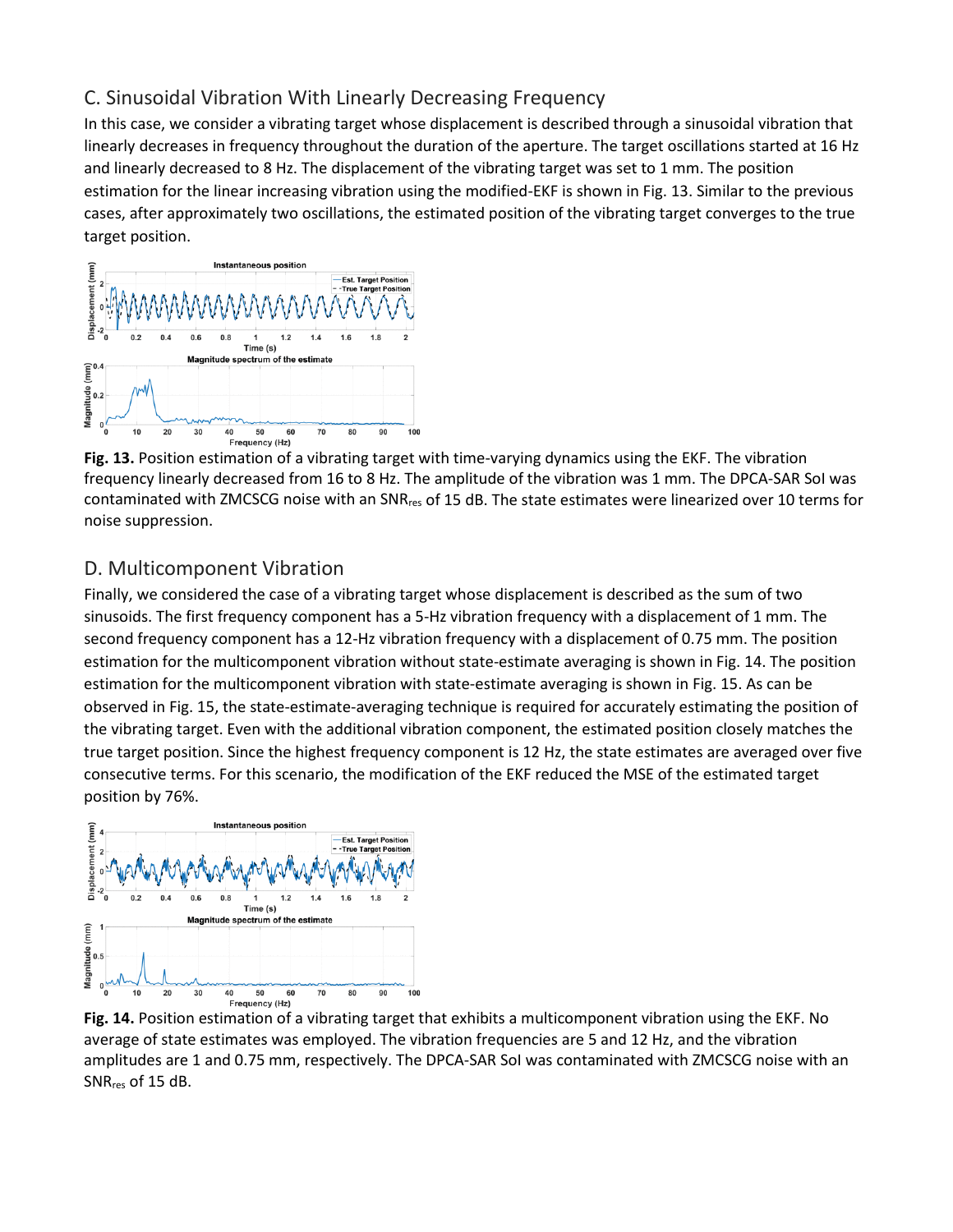#### C. Sinusoidal Vibration With Linearly Decreasing Frequency

In this case, we consider a vibrating target whose displacement is described through a sinusoidal vibration that linearly decreases in frequency throughout the duration of the aperture. The target oscillations started at 16 Hz and linearly decreased to 8 Hz. The displacement of the vibrating target was set to 1 mm. The position estimation for the linear increasing vibration using the modified-EKF is shown in Fig. 13. Similar to the previous cases, after approximately two oscillations, the estimated position of the vibrating target converges to the true target position.



**Fig. 13.** Position estimation of a vibrating target with time-varying dynamics using the EKF. The vibration frequency linearly decreased from 16 to 8 Hz. The amplitude of the vibration was 1 mm. The DPCA-SAR SoI was contaminated with ZMCSCG noise with an SNRres of 15 dB. The state estimates were linearized over 10 terms for noise suppression.

#### D. Multicomponent Vibration

Finally, we considered the case of a vibrating target whose displacement is described as the sum of two sinusoids. The first frequency component has a 5-Hz vibration frequency with a displacement of 1 mm. The second frequency component has a 12-Hz vibration frequency with a displacement of 0.75 mm. The position estimation for the multicomponent vibration without state-estimate averaging is shown in Fig. 14. The position estimation for the multicomponent vibration with state-estimate averaging is shown in Fig. 15. As can be observed in Fig. 15, the state-estimate-averaging technique is required for accurately estimating the position of the vibrating target. Even with the additional vibration component, the estimated position closely matches the true target position. Since the highest frequency component is 12 Hz, the state estimates are averaged over five consecutive terms. For this scenario, the modification of the EKF reduced the MSE of the estimated target position by 76%.



**Fig. 14.** Position estimation of a vibrating target that exhibits a multicomponent vibration using the EKF. No average of state estimates was employed. The vibration frequencies are 5 and 12 Hz, and the vibration amplitudes are 1 and 0.75 mm, respectively. The DPCA-SAR SoI was contaminated with ZMCSCG noise with an SNRres of 15 dB.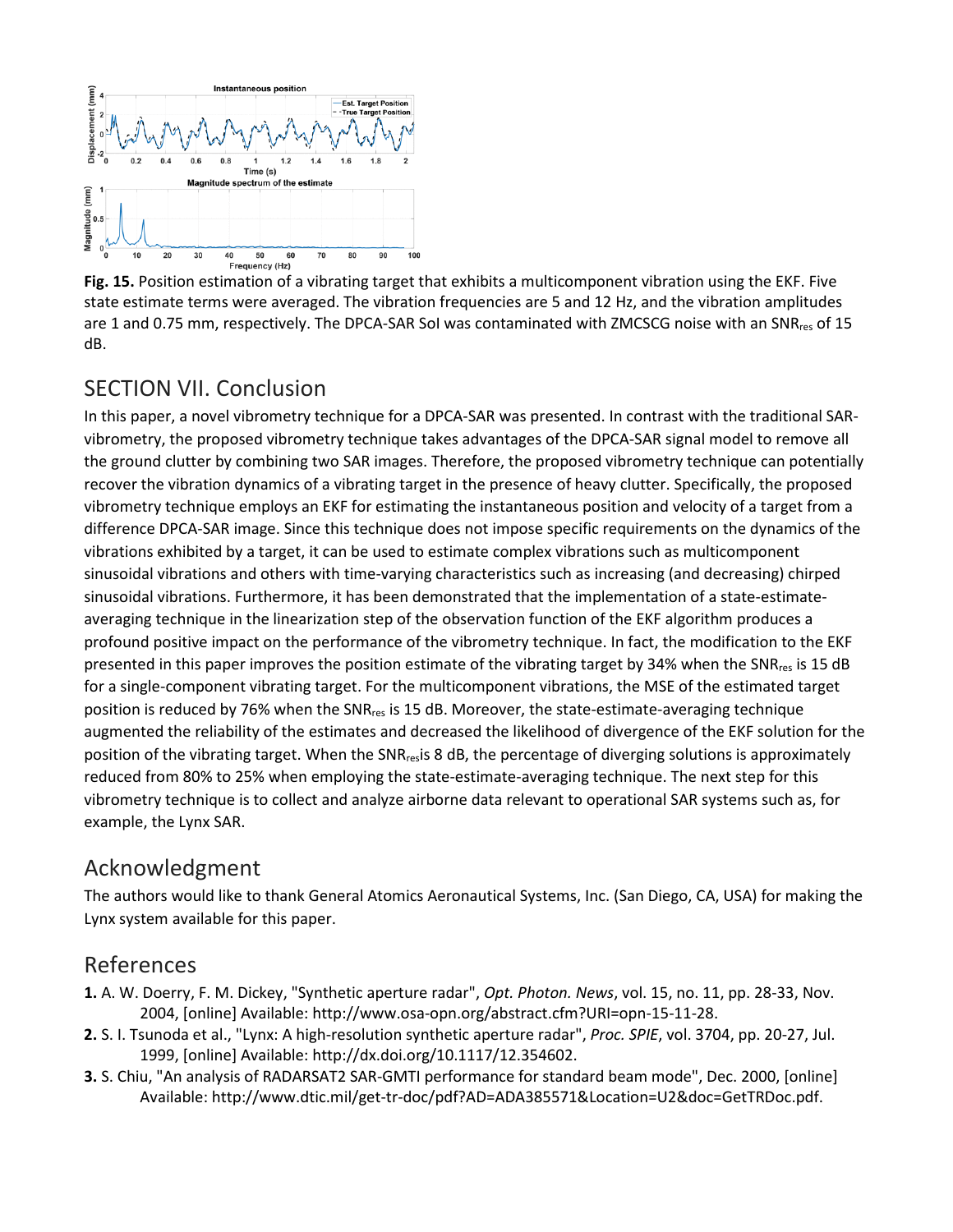

**Fig. 15.** Position estimation of a vibrating target that exhibits a multicomponent vibration using the EKF. Five state estimate terms were averaged. The vibration frequencies are 5 and 12 Hz, and the vibration amplitudes are 1 and 0.75 mm, respectively. The DPCA-SAR SoI was contaminated with ZMCSCG noise with an SNRres of 15 dB.

### SECTION VII. Conclusion

In this paper, a novel vibrometry technique for a DPCA-SAR was presented. In contrast with the traditional SARvibrometry, the proposed vibrometry technique takes advantages of the DPCA-SAR signal model to remove all the ground clutter by combining two SAR images. Therefore, the proposed vibrometry technique can potentially recover the vibration dynamics of a vibrating target in the presence of heavy clutter. Specifically, the proposed vibrometry technique employs an EKF for estimating the instantaneous position and velocity of a target from a difference DPCA-SAR image. Since this technique does not impose specific requirements on the dynamics of the vibrations exhibited by a target, it can be used to estimate complex vibrations such as multicomponent sinusoidal vibrations and others with time-varying characteristics such as increasing (and decreasing) chirped sinusoidal vibrations. Furthermore, it has been demonstrated that the implementation of a state-estimateaveraging technique in the linearization step of the observation function of the EKF algorithm produces a profound positive impact on the performance of the vibrometry technique. In fact, the modification to the EKF presented in this paper improves the position estimate of the vibrating target by 34% when the SNR<sub>res</sub> is 15 dB for a single-component vibrating target. For the multicomponent vibrations, the MSE of the estimated target position is reduced by 76% when the SNRres is 15 dB. Moreover, the state-estimate-averaging technique augmented the reliability of the estimates and decreased the likelihood of divergence of the EKF solution for the position of the vibrating target. When the SNR<sub>res</sub>is 8 dB, the percentage of diverging solutions is approximately reduced from 80% to 25% when employing the state-estimate-averaging technique. The next step for this vibrometry technique is to collect and analyze airborne data relevant to operational SAR systems such as, for example, the Lynx SAR.

### Acknowledgment

The authors would like to thank General Atomics Aeronautical Systems, Inc. (San Diego, CA, USA) for making the Lynx system available for this paper.

### References

- **1.** A. W. Doerry, F. M. Dickey, "Synthetic aperture radar", *Opt. Photon. News*, vol. 15, no. 11, pp. 28-33, Nov. 2004, [online] Available: http://www.osa-opn.org/abstract.cfm?URI=opn-15-11-28.
- **2.** S. I. Tsunoda et al., "Lynx: A high-resolution synthetic aperture radar", *Proc. SPIE*, vol. 3704, pp. 20-27, Jul. 1999, [online] Available: http://dx.doi.org/10.1117/12.354602.
- **3.** S. Chiu, "An analysis of RADARSAT2 SAR-GMTI performance for standard beam mode", Dec. 2000, [online] Available: http://www.dtic.mil/get-tr-doc/pdf?AD=ADA385571&Location=U2&doc=GetTRDoc.pdf.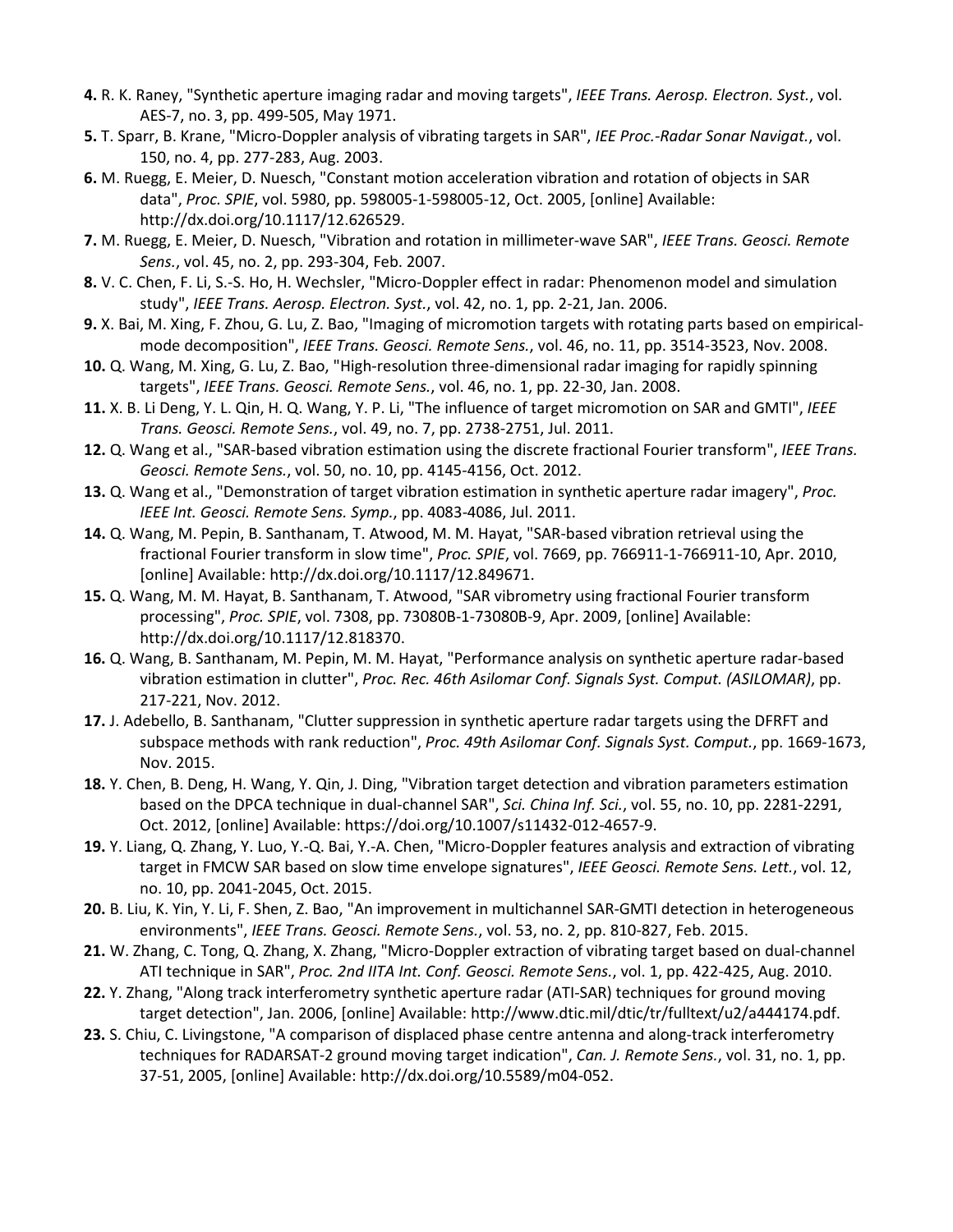- **4.** R. K. Raney, "Synthetic aperture imaging radar and moving targets", *IEEE Trans. Aerosp. Electron. Syst.*, vol. AES-7, no. 3, pp. 499-505, May 1971.
- **5.** T. Sparr, B. Krane, "Micro-Doppler analysis of vibrating targets in SAR", *IEE Proc.-Radar Sonar Navigat.*, vol. 150, no. 4, pp. 277-283, Aug. 2003.
- **6.** M. Ruegg, E. Meier, D. Nuesch, "Constant motion acceleration vibration and rotation of objects in SAR data", *Proc. SPIE*, vol. 5980, pp. 598005-1-598005-12, Oct. 2005, [online] Available: http://dx.doi.org/10.1117/12.626529.
- **7.** M. Ruegg, E. Meier, D. Nuesch, "Vibration and rotation in millimeter-wave SAR", *IEEE Trans. Geosci. Remote Sens.*, vol. 45, no. 2, pp. 293-304, Feb. 2007.
- **8.** V. C. Chen, F. Li, S.-S. Ho, H. Wechsler, "Micro-Doppler effect in radar: Phenomenon model and simulation study", *IEEE Trans. Aerosp. Electron. Syst.*, vol. 42, no. 1, pp. 2-21, Jan. 2006.
- **9.** X. Bai, M. Xing, F. Zhou, G. Lu, Z. Bao, "Imaging of micromotion targets with rotating parts based on empiricalmode decomposition", *IEEE Trans. Geosci. Remote Sens.*, vol. 46, no. 11, pp. 3514-3523, Nov. 2008.
- **10.** Q. Wang, M. Xing, G. Lu, Z. Bao, "High-resolution three-dimensional radar imaging for rapidly spinning targets", *IEEE Trans. Geosci. Remote Sens.*, vol. 46, no. 1, pp. 22-30, Jan. 2008.
- **11.** X. B. Li Deng, Y. L. Qin, H. Q. Wang, Y. P. Li, "The influence of target micromotion on SAR and GMTI", *IEEE Trans. Geosci. Remote Sens.*, vol. 49, no. 7, pp. 2738-2751, Jul. 2011.
- **12.** Q. Wang et al., "SAR-based vibration estimation using the discrete fractional Fourier transform", *IEEE Trans. Geosci. Remote Sens.*, vol. 50, no. 10, pp. 4145-4156, Oct. 2012.
- **13.** Q. Wang et al., "Demonstration of target vibration estimation in synthetic aperture radar imagery", *Proc. IEEE Int. Geosci. Remote Sens. Symp.*, pp. 4083-4086, Jul. 2011.
- **14.** Q. Wang, M. Pepin, B. Santhanam, T. Atwood, M. M. Hayat, "SAR-based vibration retrieval using the fractional Fourier transform in slow time", *Proc. SPIE*, vol. 7669, pp. 766911-1-766911-10, Apr. 2010, [online] Available: http://dx.doi.org/10.1117/12.849671.
- **15.** Q. Wang, M. M. Hayat, B. Santhanam, T. Atwood, "SAR vibrometry using fractional Fourier transform processing", *Proc. SPIE*, vol. 7308, pp. 73080B-1-73080B-9, Apr. 2009, [online] Available: http://dx.doi.org/10.1117/12.818370.
- **16.** Q. Wang, B. Santhanam, M. Pepin, M. M. Hayat, "Performance analysis on synthetic aperture radar-based vibration estimation in clutter", *Proc. Rec. 46th Asilomar Conf. Signals Syst. Comput. (ASILOMAR)*, pp. 217-221, Nov. 2012.
- **17.** J. Adebello, B. Santhanam, "Clutter suppression in synthetic aperture radar targets using the DFRFT and subspace methods with rank reduction", *Proc. 49th Asilomar Conf. Signals Syst. Comput.*, pp. 1669-1673, Nov. 2015.
- **18.** Y. Chen, B. Deng, H. Wang, Y. Qin, J. Ding, "Vibration target detection and vibration parameters estimation based on the DPCA technique in dual-channel SAR", *Sci. China Inf. Sci.*, vol. 55, no. 10, pp. 2281-2291, Oct. 2012, [online] Available: https://doi.org/10.1007/s11432-012-4657-9.
- **19.** Y. Liang, Q. Zhang, Y. Luo, Y.-Q. Bai, Y.-A. Chen, "Micro-Doppler features analysis and extraction of vibrating target in FMCW SAR based on slow time envelope signatures", *IEEE Geosci. Remote Sens. Lett.*, vol. 12, no. 10, pp. 2041-2045, Oct. 2015.
- **20.** B. Liu, K. Yin, Y. Li, F. Shen, Z. Bao, "An improvement in multichannel SAR-GMTI detection in heterogeneous environments", *IEEE Trans. Geosci. Remote Sens.*, vol. 53, no. 2, pp. 810-827, Feb. 2015.
- **21.** W. Zhang, C. Tong, Q. Zhang, X. Zhang, "Micro-Doppler extraction of vibrating target based on dual-channel ATI technique in SAR", *Proc. 2nd IITA Int. Conf. Geosci. Remote Sens.*, vol. 1, pp. 422-425, Aug. 2010.
- **22.** Y. Zhang, "Along track interferometry synthetic aperture radar (ATI-SAR) techniques for ground moving target detection", Jan. 2006, [online] Available: http://www.dtic.mil/dtic/tr/fulltext/u2/a444174.pdf.
- **23.** S. Chiu, C. Livingstone, "A comparison of displaced phase centre antenna and along-track interferometry techniques for RADARSAT-2 ground moving target indication", *Can. J. Remote Sens.*, vol. 31, no. 1, pp. 37-51, 2005, [online] Available: http://dx.doi.org/10.5589/m04-052.